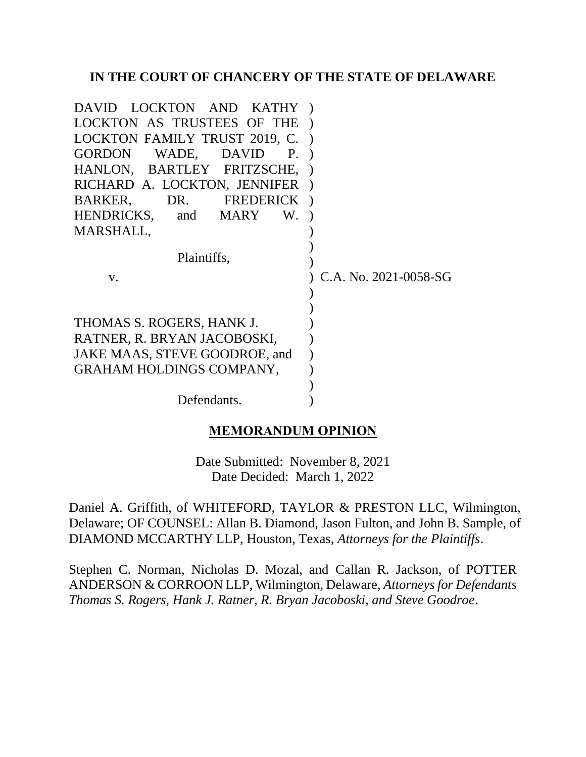### **IN THE COURT OF CHANCERY OF THE STATE OF DELAWARE**

| DAVID LOCKTON AND KATHY)        |                       |
|---------------------------------|-----------------------|
| LOCKTON AS TRUSTEES OF THE      |                       |
| LOCKTON FAMILY TRUST 2019, C.)  |                       |
| GORDON WADE, DAVID<br>Ρ.        |                       |
| HANLON, BARTLEY FRITZSCHE, )    |                       |
| RICHARD A. LOCKTON, JENNIFER    |                       |
| BARKER, DR. FREDERICK           |                       |
| HENDRICKS, and MARY<br>W.       |                       |
| MARSHALL,                       |                       |
| Plaintiffs,                     |                       |
| V.                              | C.A. No. 2021-0058-SG |
|                                 |                       |
|                                 |                       |
| THOMAS S. ROGERS, HANK J.       |                       |
| RATNER, R. BRYAN JACOBOSKI,     |                       |
| JAKE MAAS, STEVE GOODROE, and   |                       |
| <b>GRAHAM HOLDINGS COMPANY,</b> |                       |
|                                 |                       |
| Defendants.                     |                       |

# **MEMORANDUM OPINION**

Date Submitted: November 8, 2021 Date Decided: March 1, 2022

Daniel A. Griffith, of WHITEFORD, TAYLOR & PRESTON LLC, Wilmington, Delaware; OF COUNSEL: Allan B. Diamond, Jason Fulton, and John B. Sample, of DIAMOND MCCARTHY LLP, Houston, Texas, *Attorneys for the Plaintiffs*.

Stephen C. Norman, Nicholas D. Mozal, and Callan R. Jackson, of POTTER ANDERSON & CORROON LLP, Wilmington, Delaware, *Attorneys for Defendants Thomas S. Rogers, Hank J. Ratner, R. Bryan Jacoboski, and Steve Goodroe*.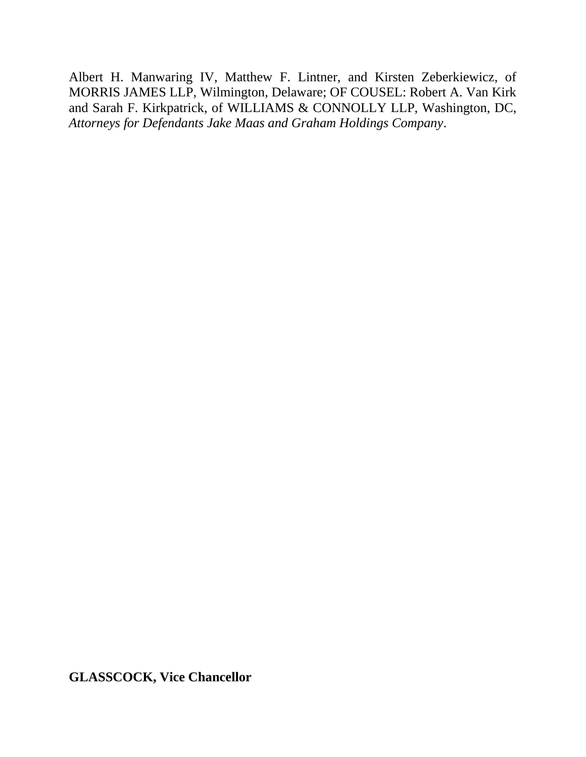Albert H. Manwaring IV, Matthew F. Lintner, and Kirsten Zeberkiewicz, of MORRIS JAMES LLP, Wilmington, Delaware; OF COUSEL: Robert A. Van Kirk and Sarah F. Kirkpatrick, of WILLIAMS & CONNOLLY LLP, Washington, DC, *Attorneys for Defendants Jake Maas and Graham Holdings Company*.

**GLASSCOCK, Vice Chancellor**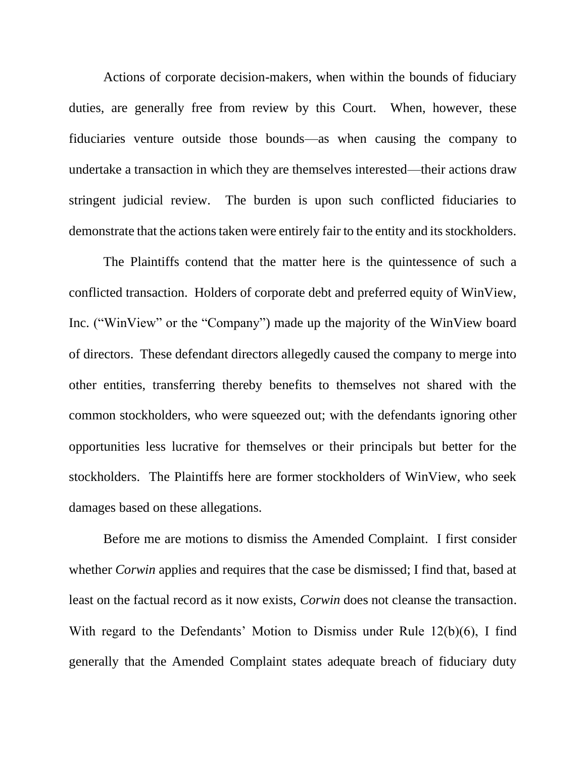Actions of corporate decision-makers, when within the bounds of fiduciary duties, are generally free from review by this Court. When, however, these fiduciaries venture outside those bounds—as when causing the company to undertake a transaction in which they are themselves interested—their actions draw stringent judicial review. The burden is upon such conflicted fiduciaries to demonstrate that the actions taken were entirely fair to the entity and its stockholders.

The Plaintiffs contend that the matter here is the quintessence of such a conflicted transaction. Holders of corporate debt and preferred equity of WinView, Inc. ("WinView" or the "Company") made up the majority of the WinView board of directors. These defendant directors allegedly caused the company to merge into other entities, transferring thereby benefits to themselves not shared with the common stockholders, who were squeezed out; with the defendants ignoring other opportunities less lucrative for themselves or their principals but better for the stockholders. The Plaintiffs here are former stockholders of WinView, who seek damages based on these allegations.

Before me are motions to dismiss the Amended Complaint. I first consider whether *Corwin* applies and requires that the case be dismissed; I find that, based at least on the factual record as it now exists, *Corwin* does not cleanse the transaction. With regard to the Defendants' Motion to Dismiss under Rule 12(b)(6), I find generally that the Amended Complaint states adequate breach of fiduciary duty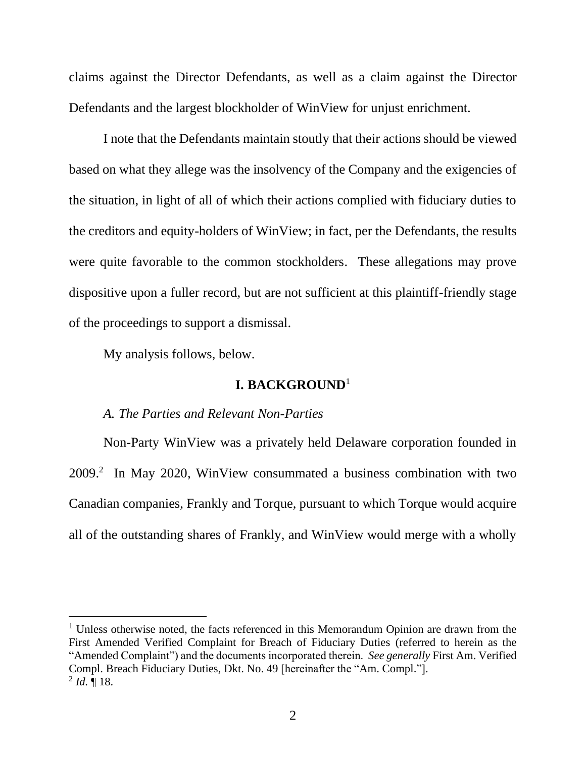claims against the Director Defendants, as well as a claim against the Director Defendants and the largest blockholder of WinView for unjust enrichment.

I note that the Defendants maintain stoutly that their actions should be viewed based on what they allege was the insolvency of the Company and the exigencies of the situation, in light of all of which their actions complied with fiduciary duties to the creditors and equity-holders of WinView; in fact, per the Defendants, the results were quite favorable to the common stockholders. These allegations may prove dispositive upon a fuller record, but are not sufficient at this plaintiff-friendly stage of the proceedings to support a dismissal.

My analysis follows, below.

# **I. BACKGROUND**<sup>1</sup>

#### *A. The Parties and Relevant Non-Parties*

Non-Party WinView was a privately held Delaware corporation founded in 2009.<sup>2</sup> In May 2020, WinView consummated a business combination with two Canadian companies, Frankly and Torque, pursuant to which Torque would acquire all of the outstanding shares of Frankly, and WinView would merge with a wholly

 $1$  Unless otherwise noted, the facts referenced in this Memorandum Opinion are drawn from the First Amended Verified Complaint for Breach of Fiduciary Duties (referred to herein as the "Amended Complaint") and the documents incorporated therein. *See generally* First Am. Verified Compl. Breach Fiduciary Duties, Dkt. No. 49 [hereinafter the "Am. Compl."].  $^{2}$  *Id.*  $\llbracket$  18.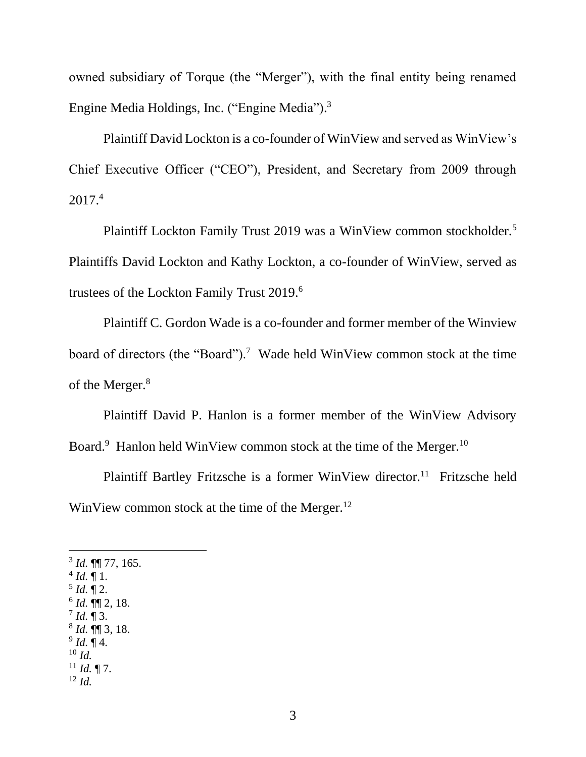owned subsidiary of Torque (the "Merger"), with the final entity being renamed Engine Media Holdings, Inc. ("Engine Media").<sup>3</sup>

Plaintiff David Lockton is a co-founder of WinView and served as WinView's Chief Executive Officer ("CEO"), President, and Secretary from 2009 through 2017.<sup>4</sup>

Plaintiff Lockton Family Trust 2019 was a WinView common stockholder.<sup>5</sup> Plaintiffs David Lockton and Kathy Lockton, a co-founder of WinView, served as trustees of the Lockton Family Trust 2019.<sup>6</sup>

Plaintiff C. Gordon Wade is a co-founder and former member of the Winview board of directors (the "Board").<sup>7</sup> Wade held WinView common stock at the time of the Merger.<sup>8</sup>

Plaintiff David P. Hanlon is a former member of the WinView Advisory Board.<sup>9</sup> Hanlon held WinView common stock at the time of the Merger.<sup>10</sup>

Plaintiff Bartley Fritzsche is a former WinView director.<sup>11</sup> Fritzsche held WinView common stock at the time of the Merger.<sup>12</sup>

- $^{4}$  *Id.*  $\P$  1.
- $^5$  *Id.*  $\P$  2.
- 6 *Id.* ¶¶ 2, 18.  $^{7}$  *Id.* ¶ 3.
- 8 *Id.* ¶¶ 3, 18.
- 9 *Id.* ¶ 4.
- $^{10}$  *Id.*
- $11$  *Id.* 17.
- <sup>12</sup> *Id.*

<sup>3</sup> *Id.* ¶¶ 77, 165.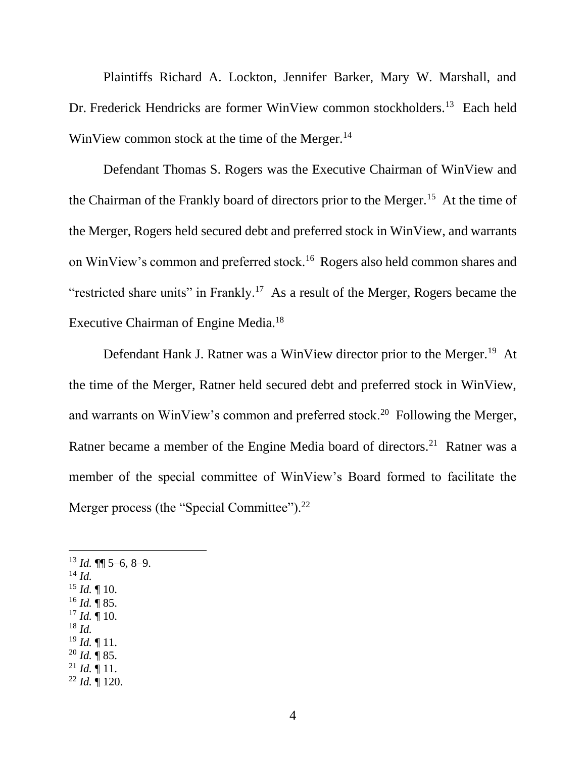Plaintiffs Richard A. Lockton, Jennifer Barker, Mary W. Marshall, and Dr. Frederick Hendricks are former WinView common stockholders.<sup>13</sup> Each held WinView common stock at the time of the Merger.<sup>14</sup>

Defendant Thomas S. Rogers was the Executive Chairman of WinView and the Chairman of the Frankly board of directors prior to the Merger.<sup>15</sup> At the time of the Merger, Rogers held secured debt and preferred stock in WinView, and warrants on WinView's common and preferred stock.<sup>16</sup> Rogers also held common shares and "restricted share units" in Frankly.<sup>17</sup> As a result of the Merger, Rogers became the Executive Chairman of Engine Media.<sup>18</sup>

Defendant Hank J. Ratner was a WinView director prior to the Merger.<sup>19</sup> At the time of the Merger, Ratner held secured debt and preferred stock in WinView, and warrants on WinView's common and preferred stock.<sup>20</sup> Following the Merger, Ratner became a member of the Engine Media board of directors.<sup>21</sup> Ratner was a member of the special committee of WinView's Board formed to facilitate the Merger process (the "Special Committee").<sup>22</sup>

- <sup>13</sup> *Id.* ¶¶ 5–6, 8–9.
- <sup>14</sup> *Id.*
- <sup>15</sup> *Id.* ¶ 10. <sup>16</sup> *Id.* ¶ 85.
- $17$  *Id.*  $\llap{[}10$ .
- <sup>18</sup> *Id.*
- <sup>19</sup> *Id.* ¶ 11.
- $^{20}$  *Id.* ¶ 85.
- $^{21}$  *Id.*  $\overline{9}$  11.
- <sup>22</sup> *Id.* ¶ 120.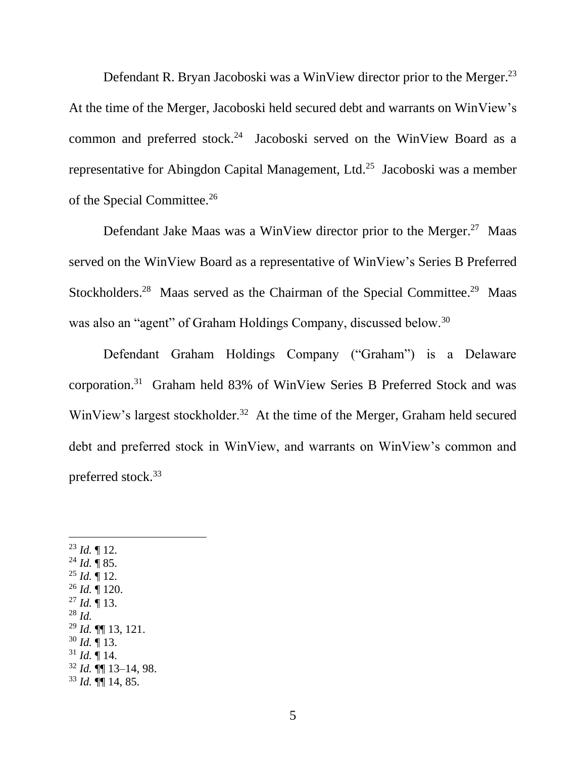Defendant R. Bryan Jacoboski was a WinView director prior to the Merger.<sup>23</sup> At the time of the Merger, Jacoboski held secured debt and warrants on WinView's common and preferred stock.<sup>24</sup> Jacoboski served on the WinView Board as a representative for Abingdon Capital Management, Ltd. $^{25}$  Jacoboski was a member of the Special Committee.<sup>26</sup>

Defendant Jake Maas was a WinView director prior to the Merger.<sup>27</sup> Maas served on the WinView Board as a representative of WinView's Series B Preferred Stockholders.<sup>28</sup> Maas served as the Chairman of the Special Committee.<sup>29</sup> Maas was also an "agent" of Graham Holdings Company, discussed below.<sup>30</sup>

Defendant Graham Holdings Company ("Graham") is a Delaware corporation.<sup>31</sup> Graham held 83% of WinView Series B Preferred Stock and was WinView's largest stockholder.<sup>32</sup> At the time of the Merger, Graham held secured debt and preferred stock in WinView, and warrants on WinView's common and preferred stock.<sup>33</sup>

 $^{23}$  *Id.*  $\llbracket$  12.  $^{24}$  *Id.* ¶ 85.  $^{25}$  *Id.*  $\overline{9}$  12.  $^{26}$  *Id.* ¶ 120. <sup>27</sup> *Id.* ¶ 13. <sup>28</sup> *Id.* <sup>29</sup> *Id.* ¶¶ 13, 121.  $30$  *Id.*  $\overline{9}$  13.  $31$  *Id.* 14. <sup>32</sup> *Id.* ¶¶ 13–14, 98.  $33$  *Id.*  $\P\P$  14, 85.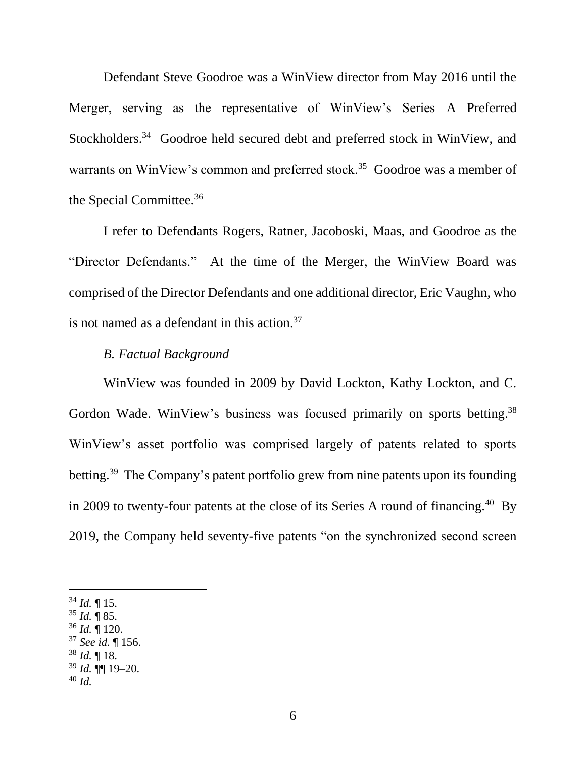Defendant Steve Goodroe was a WinView director from May 2016 until the Merger, serving as the representative of WinView's Series A Preferred Stockholders.<sup>34</sup> Goodroe held secured debt and preferred stock in WinView, and warrants on WinView's common and preferred stock.<sup>35</sup> Goodroe was a member of the Special Committee.<sup>36</sup>

I refer to Defendants Rogers, Ratner, Jacoboski, Maas, and Goodroe as the "Director Defendants." At the time of the Merger, the WinView Board was comprised of the Director Defendants and one additional director, Eric Vaughn, who is not named as a defendant in this action. 37

### *B. Factual Background*

WinView was founded in 2009 by David Lockton, Kathy Lockton, and C. Gordon Wade. WinView's business was focused primarily on sports betting.<sup>38</sup> WinView's asset portfolio was comprised largely of patents related to sports betting.<sup>39</sup> The Company's patent portfolio grew from nine patents upon its founding in 2009 to twenty-four patents at the close of its Series A round of financing.<sup>40</sup> By 2019, the Company held seventy-five patents "on the synchronized second screen

- <sup>35</sup> *Id.* ¶ 85.
- <sup>36</sup> *Id.* ¶ 120.
- <sup>37</sup> *See id.* ¶ 156.
- <sup>38</sup> *Id.* ¶ 18.
- <sup>39</sup> *Id.* ¶¶ 19–20.
- <sup>40</sup> *Id.*

 $34$  *Id.*  $\P$  15.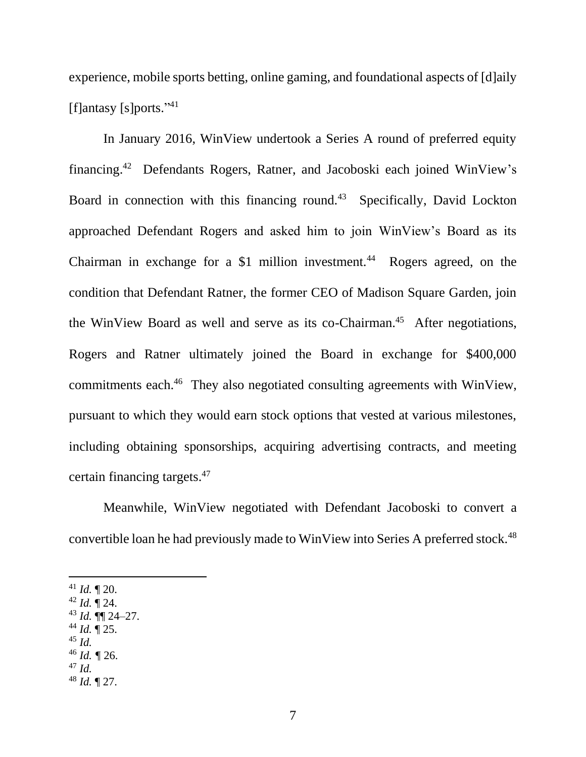experience, mobile sports betting, online gaming, and foundational aspects of [d]aily [f]antasy [s]ports."<sup>41</sup>

In January 2016, WinView undertook a Series A round of preferred equity financing.<sup>42</sup> Defendants Rogers, Ratner, and Jacoboski each joined WinView's Board in connection with this financing round.<sup>43</sup> Specifically, David Lockton approached Defendant Rogers and asked him to join WinView's Board as its Chairman in exchange for a  $$1$  million investment.<sup>44</sup> Rogers agreed, on the condition that Defendant Ratner, the former CEO of Madison Square Garden, join the WinView Board as well and serve as its co-Chairman.<sup>45</sup> After negotiations, Rogers and Ratner ultimately joined the Board in exchange for \$400,000 commitments each.<sup>46</sup> They also negotiated consulting agreements with WinView, pursuant to which they would earn stock options that vested at various milestones, including obtaining sponsorships, acquiring advertising contracts, and meeting certain financing targets.<sup>47</sup>

Meanwhile, WinView negotiated with Defendant Jacoboski to convert a convertible loan he had previously made to WinView into Series A preferred stock.<sup>48</sup>

 $41$  *Id.*  $\P$  20.

- $42$  *Id.*  $\sqrt{24}$ .
- <sup>43</sup> *Id.* ¶¶ 24–27.
- <sup>44</sup> *Id.* ¶ 25.
- <sup>45</sup> *Id.*
- $46$  *Id.*  $\sqrt{26}$ .
- <sup>47</sup> *Id.* <sup>48</sup> *Id.* ¶ 27.

7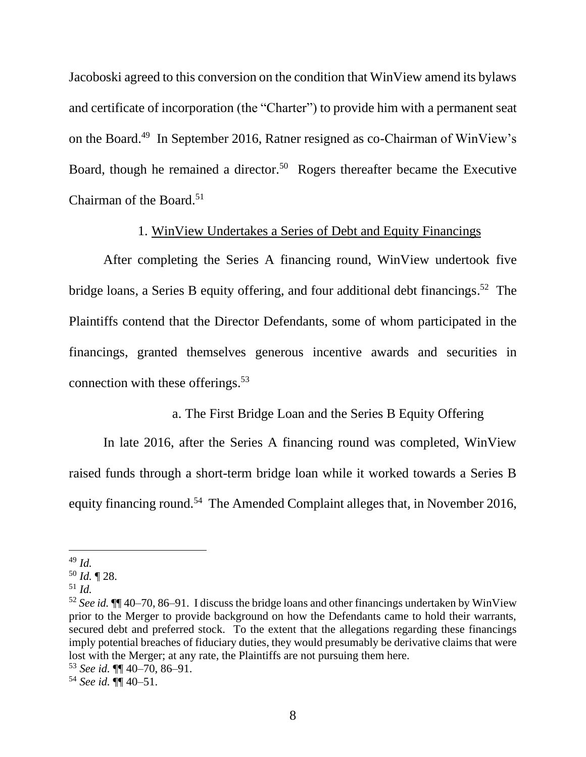Jacoboski agreed to this conversion on the condition that WinView amend its bylaws and certificate of incorporation (the "Charter") to provide him with a permanent seat on the Board.<sup>49</sup> In September 2016, Ratner resigned as co-Chairman of WinView's Board, though he remained a director.<sup>50</sup> Rogers thereafter became the Executive Chairman of the Board.<sup>51</sup>

### 1. WinView Undertakes a Series of Debt and Equity Financings

After completing the Series A financing round, WinView undertook five bridge loans, a Series B equity offering, and four additional debt financings.<sup>52</sup> The Plaintiffs contend that the Director Defendants, some of whom participated in the financings, granted themselves generous incentive awards and securities in connection with these offerings. 53

# a. The First Bridge Loan and the Series B Equity Offering

In late 2016, after the Series A financing round was completed, WinView raised funds through a short-term bridge loan while it worked towards a Series B equity financing round.<sup>54</sup> The Amended Complaint alleges that, in November 2016,

<sup>49</sup> *Id.*

<sup>50</sup> *Id.* ¶ 28.

<sup>51</sup> *Id.*

<sup>52</sup> *See id.* ¶¶ 40–70, 86–91. I discuss the bridge loans and other financings undertaken by WinView prior to the Merger to provide background on how the Defendants came to hold their warrants, secured debt and preferred stock. To the extent that the allegations regarding these financings imply potential breaches of fiduciary duties, they would presumably be derivative claims that were lost with the Merger; at any rate, the Plaintiffs are not pursuing them here.

<sup>53</sup> *See id.* ¶¶ 40–70, 86–91.

<sup>54</sup> *See id.* ¶¶ 40–51.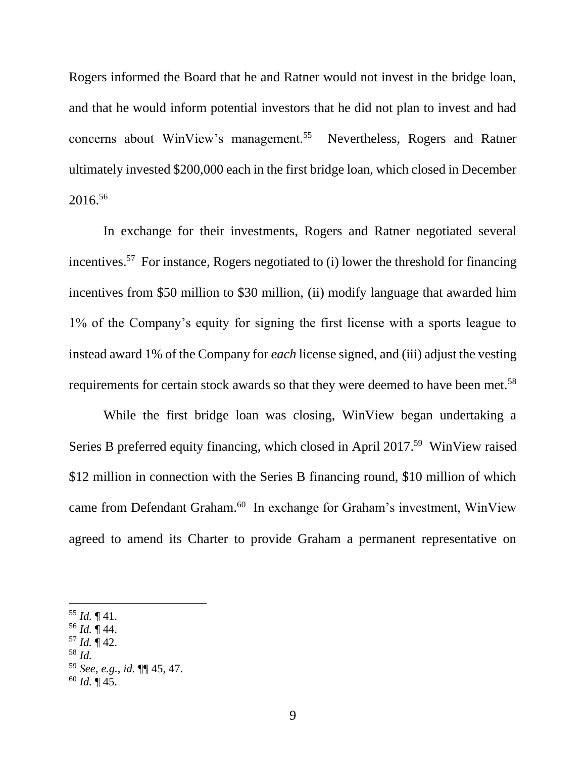Rogers informed the Board that he and Ratner would not invest in the bridge loan, and that he would inform potential investors that he did not plan to invest and had concerns about WinView's management.<sup>55</sup> Nevertheless, Rogers and Ratner ultimately invested \$200,000 each in the first bridge loan, which closed in December 2016.<sup>56</sup>

In exchange for their investments, Rogers and Ratner negotiated several incentives.<sup>57</sup> For instance, Rogers negotiated to (i) lower the threshold for financing incentives from \$50 million to \$30 million, (ii) modify language that awarded him 1% of the Company's equity for signing the first license with a sports league to instead award 1% of the Company for *each* license signed, and (iii) adjust the vesting requirements for certain stock awards so that they were deemed to have been met.<sup>58</sup>

While the first bridge loan was closing, WinView began undertaking a Series B preferred equity financing, which closed in April 2017.<sup>59</sup> WinView raised \$12 million in connection with the Series B financing round, \$10 million of which came from Defendant Graham.<sup>60</sup> In exchange for Graham's investment, WinView agreed to amend its Charter to provide Graham a permanent representative on

- $57$  *Id.*  $\P$  42.
- <sup>58</sup> *Id.*

 $55$  *Id.*  $\P$  41.

<sup>56</sup> *Id.* ¶ 44.

<sup>59</sup> *See, e.g.*, *id.* ¶¶ 45, 47.

 $60$  *Id.*  $\P$  45.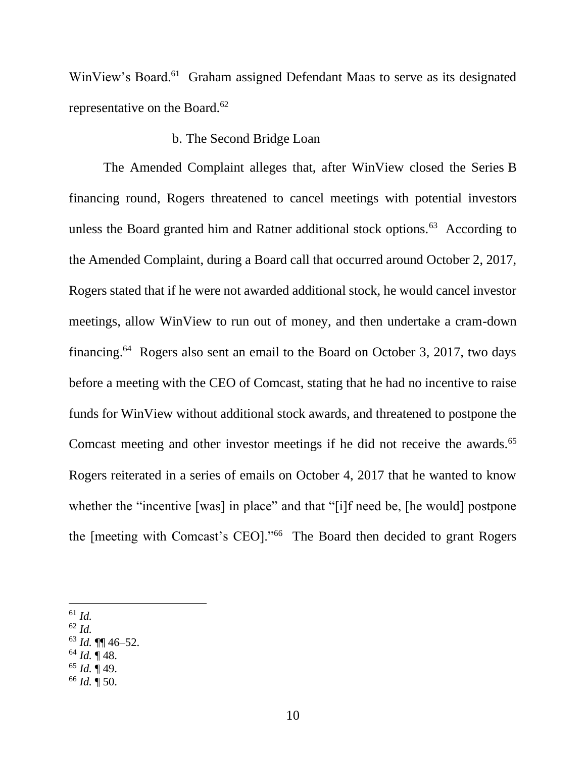WinView's Board.<sup>61</sup> Graham assigned Defendant Maas to serve as its designated representative on the Board.<sup>62</sup>

#### b. The Second Bridge Loan

The Amended Complaint alleges that, after WinView closed the Series B financing round, Rogers threatened to cancel meetings with potential investors unless the Board granted him and Ratner additional stock options.<sup>63</sup> According to the Amended Complaint, during a Board call that occurred around October 2, 2017, Rogers stated that if he were not awarded additional stock, he would cancel investor meetings, allow WinView to run out of money, and then undertake a cram-down financing.<sup>64</sup> Rogers also sent an email to the Board on October 3, 2017, two days before a meeting with the CEO of Comcast, stating that he had no incentive to raise funds for WinView without additional stock awards, and threatened to postpone the Comcast meeting and other investor meetings if he did not receive the awards.<sup>65</sup> Rogers reiterated in a series of emails on October 4, 2017 that he wanted to know whether the "incentive [was] in place" and that "[i]f need be, [he would] postpone the [meeting with Comcast's CEO]."<sup>66</sup> The Board then decided to grant Rogers

- <sup>62</sup> *Id.*
- <sup>63</sup> *Id.* ¶¶ 46–52.
- $64$  *Id.* 148.
- <sup>65</sup> *Id.* ¶ 49.
- <sup>66</sup> *Id.* ¶ 50.

<sup>61</sup> *Id.*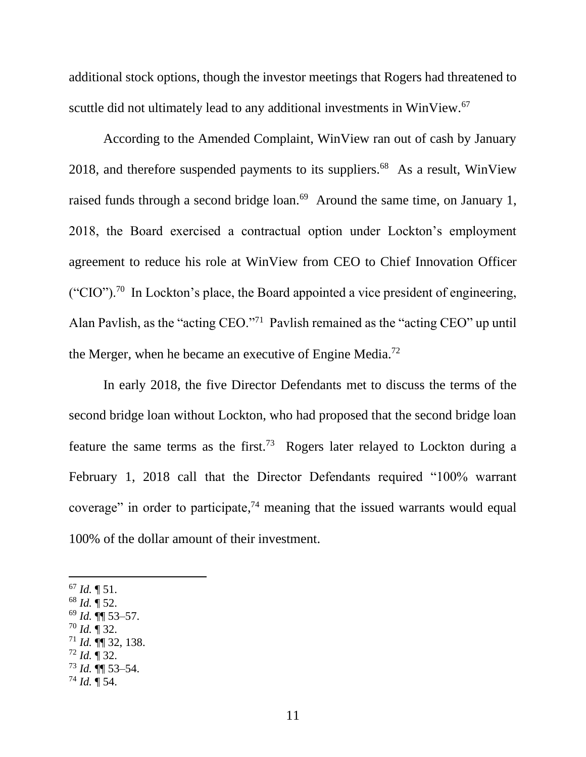additional stock options, though the investor meetings that Rogers had threatened to scuttle did not ultimately lead to any additional investments in WinView.<sup>67</sup>

According to the Amended Complaint, WinView ran out of cash by January 2018, and therefore suspended payments to its suppliers. $68$  As a result, WinView raised funds through a second bridge loan.<sup>69</sup> Around the same time, on January 1, 2018, the Board exercised a contractual option under Lockton's employment agreement to reduce his role at WinView from CEO to Chief Innovation Officer  $("CIO")$ .<sup>70</sup> In Lockton's place, the Board appointed a vice president of engineering, Alan Pavlish, as the "acting CEO."<sup>71</sup> Pavlish remained as the "acting CEO" up until the Merger, when he became an executive of Engine Media.<sup>72</sup>

In early 2018, the five Director Defendants met to discuss the terms of the second bridge loan without Lockton, who had proposed that the second bridge loan feature the same terms as the first.<sup>73</sup> Rogers later relayed to Lockton during a February 1, 2018 call that the Director Defendants required "100% warrant coverage" in order to participate, $74$  meaning that the issued warrants would equal 100% of the dollar amount of their investment.

 $^{67}$  *Id.*  $\P$  51.

- <sup>68</sup> *Id.* ¶ 52.
- <sup>69</sup> *Id.* ¶¶ 53–57.
- <sup>70</sup> *Id.* ¶ 32.
- <sup>71</sup> *Id.* ¶¶ 32, 138.
- <sup>72</sup> *Id.* ¶ 32.
- <sup>73</sup> *Id.* ¶¶ 53–54.
- <sup>74</sup> *Id.* ¶ 54.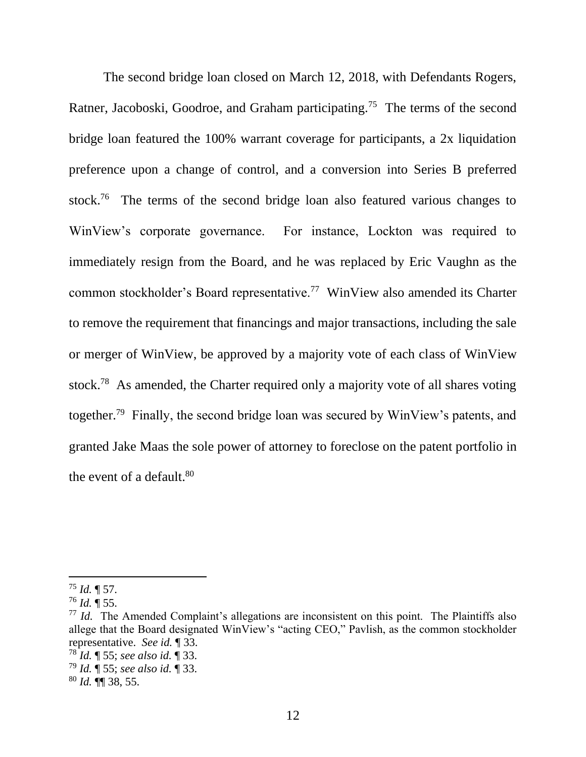The second bridge loan closed on March 12, 2018, with Defendants Rogers, Ratner, Jacoboski, Goodroe, and Graham participating.<sup>75</sup> The terms of the second bridge loan featured the 100% warrant coverage for participants, a 2x liquidation preference upon a change of control, and a conversion into Series B preferred stock.<sup>76</sup> The terms of the second bridge loan also featured various changes to WinView's corporate governance. For instance, Lockton was required to immediately resign from the Board, and he was replaced by Eric Vaughn as the common stockholder's Board representative.<sup>77</sup> WinView also amended its Charter to remove the requirement that financings and major transactions, including the sale or merger of WinView, be approved by a majority vote of each class of WinView stock.<sup>78</sup> As amended, the Charter required only a majority vote of all shares voting together.<sup>79</sup> Finally, the second bridge loan was secured by WinView's patents, and granted Jake Maas the sole power of attorney to foreclose on the patent portfolio in the event of a default.<sup>80</sup>

 $^{75}$  *Id.* ¶ 57.

 $^{76}$  *Id.*  $\overline{9}$  55.

<sup>&</sup>lt;sup>77</sup> *Id.* The Amended Complaint's allegations are inconsistent on this point. The Plaintiffs also allege that the Board designated WinView's "acting CEO," Pavlish, as the common stockholder representative. *See id.* ¶ 33.

<sup>78</sup> *Id.* ¶ 55; *see also id.* ¶ 33.

<sup>79</sup> *Id.* ¶ 55; *see also id.* ¶ 33.

<sup>80</sup> *Id.* ¶¶ 38, 55.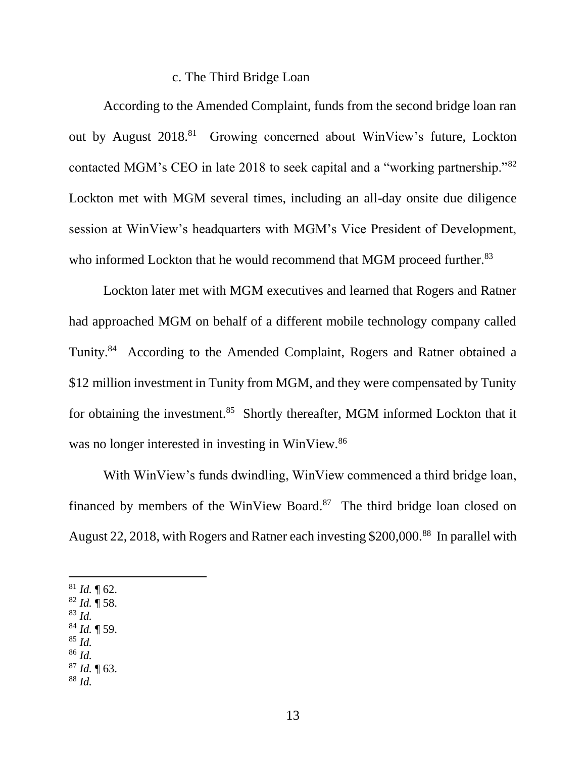#### c. The Third Bridge Loan

According to the Amended Complaint, funds from the second bridge loan ran out by August 2018.<sup>81</sup> Growing concerned about WinView's future, Lockton contacted MGM's CEO in late 2018 to seek capital and a "working partnership."<sup>82</sup> Lockton met with MGM several times, including an all-day onsite due diligence session at WinView's headquarters with MGM's Vice President of Development, who informed Lockton that he would recommend that MGM proceed further.<sup>83</sup>

Lockton later met with MGM executives and learned that Rogers and Ratner had approached MGM on behalf of a different mobile technology company called Tunity.<sup>84</sup> According to the Amended Complaint, Rogers and Ratner obtained a \$12 million investment in Tunity from MGM, and they were compensated by Tunity for obtaining the investment.<sup>85</sup> Shortly thereafter, MGM informed Lockton that it was no longer interested in investing in WinView.<sup>86</sup>

With WinView's funds dwindling, WinView commenced a third bridge loan, financed by members of the WinView Board. $87$  The third bridge loan closed on August 22, 2018, with Rogers and Ratner each investing \$200,000.<sup>88</sup> In parallel with

 $81$  *Id.* 162.

- <sup>82</sup> *Id.* ¶ 58.
- <sup>83</sup> *Id.*
- <sup>84</sup> *Id.* ¶ 59.
- <sup>85</sup> *Id.* <sup>86</sup> *Id.*
	-
- <sup>87</sup> *Id.* ¶ 63. <sup>88</sup> *Id.*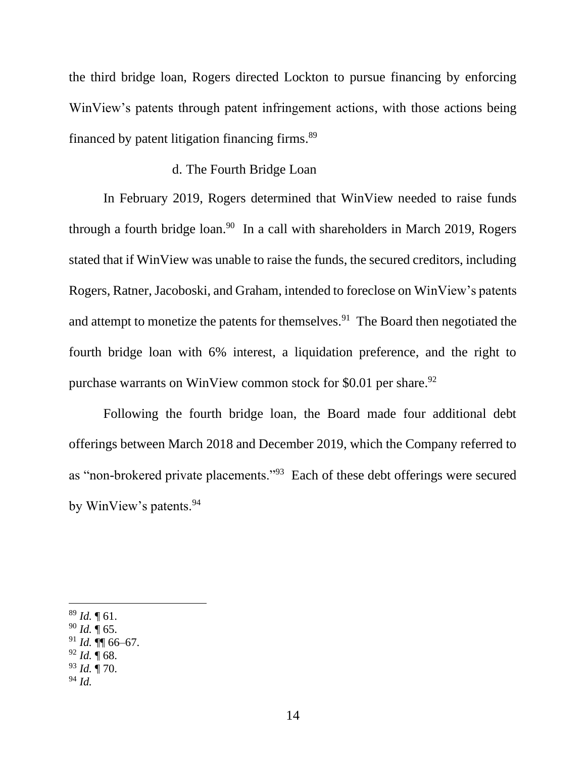the third bridge loan, Rogers directed Lockton to pursue financing by enforcing WinView's patents through patent infringement actions, with those actions being financed by patent litigation financing firms.<sup>89</sup>

### d. The Fourth Bridge Loan

In February 2019, Rogers determined that WinView needed to raise funds through a fourth bridge  $\alpha$  ln a call with shareholders in March 2019, Rogers stated that if WinView was unable to raise the funds, the secured creditors, including Rogers, Ratner, Jacoboski, and Graham, intended to foreclose on WinView's patents and attempt to monetize the patents for themselves.<sup>91</sup> The Board then negotiated the fourth bridge loan with 6% interest, a liquidation preference, and the right to purchase warrants on WinView common stock for \$0.01 per share.<sup>92</sup>

Following the fourth bridge loan, the Board made four additional debt offerings between March 2018 and December 2019, which the Company referred to as "non-brokered private placements."<sup>93</sup> Each of these debt offerings were secured by WinView's patents.<sup>94</sup>

<sup>93</sup> *Id.* ¶ 70.

<sup>89</sup> *Id.* ¶ 61.

 $90$  *Id.*  $\P$  65.

<sup>91</sup> *Id.* ¶¶ 66–67.

 $^{92}$  *Id.*  $\P$  68.

<sup>94</sup> *Id.*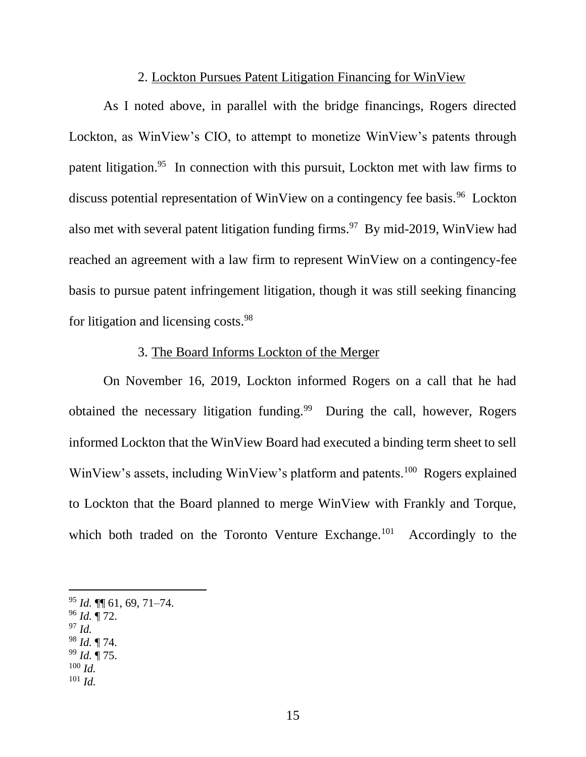#### 2. Lockton Pursues Patent Litigation Financing for WinView

As I noted above, in parallel with the bridge financings, Rogers directed Lockton, as WinView's CIO, to attempt to monetize WinView's patents through patent litigation.<sup>95</sup> In connection with this pursuit, Lockton met with law firms to discuss potential representation of WinView on a contingency fee basis.<sup>96</sup> Lockton also met with several patent litigation funding firms.<sup>97</sup> By mid-2019, WinView had reached an agreement with a law firm to represent WinView on a contingency-fee basis to pursue patent infringement litigation, though it was still seeking financing for litigation and licensing costs.<sup>98</sup>

### 3. The Board Informs Lockton of the Merger

On November 16, 2019, Lockton informed Rogers on a call that he had obtained the necessary litigation funding.<sup>99</sup> During the call, however, Rogers informed Lockton that the WinView Board had executed a binding term sheet to sell WinView's assets, including WinView's platform and patents.<sup>100</sup> Rogers explained to Lockton that the Board planned to merge WinView with Frankly and Torque, which both traded on the Toronto Venture Exchange.<sup>101</sup> Accordingly to the

- <sup>96</sup> *Id.* ¶ 72.
- <sup>97</sup> *Id.*
- <sup>98</sup> *Id.* ¶ 74. <sup>99</sup> *Id.* ¶ 75.
- $100$  *Id.*
- <sup>101</sup> *Id.*

<sup>95</sup> *Id.* ¶¶ 61, 69, 71–74.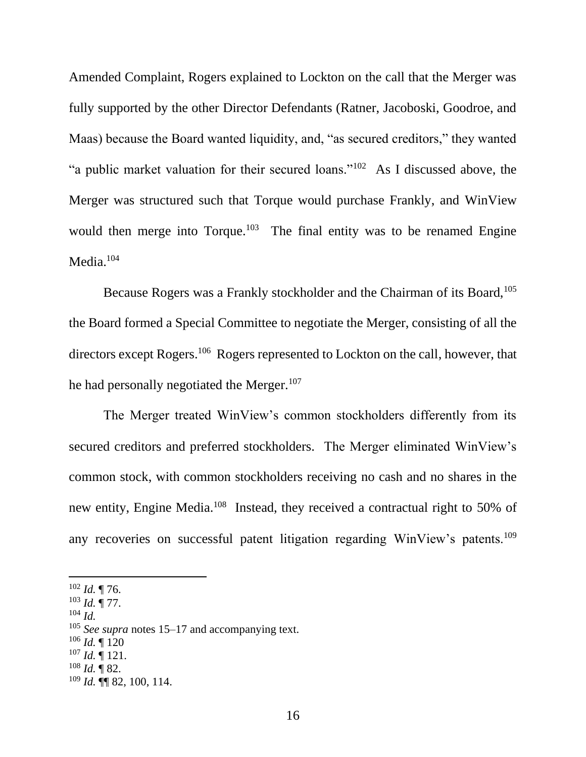Amended Complaint, Rogers explained to Lockton on the call that the Merger was fully supported by the other Director Defendants (Ratner, Jacoboski, Goodroe, and Maas) because the Board wanted liquidity, and, "as secured creditors," they wanted "a public market valuation for their secured loans."<sup>102</sup> As I discussed above, the Merger was structured such that Torque would purchase Frankly, and WinView would then merge into Torque.<sup>103</sup> The final entity was to be renamed Engine Media.<sup>104</sup>

Because Rogers was a Frankly stockholder and the Chairman of its Board,<sup>105</sup> the Board formed a Special Committee to negotiate the Merger, consisting of all the directors except Rogers.<sup>106</sup> Rogers represented to Lockton on the call, however, that he had personally negotiated the Merger.<sup>107</sup>

The Merger treated WinView's common stockholders differently from its secured creditors and preferred stockholders. The Merger eliminated WinView's common stock, with common stockholders receiving no cash and no shares in the new entity, Engine Media.<sup>108</sup> Instead, they received a contractual right to 50% of any recoveries on successful patent litigation regarding WinView's patents.<sup>109</sup>

- <sup>103</sup> *Id.* ¶ 77.
- <sup>104</sup> *Id.*

- <sup>106</sup> *Id.* ¶ 120
- $^{107}$  *Id.* ¶ 121.
- $108$  *Id.* 1 82.

<sup>102</sup> *Id.* ¶ 76.

<sup>105</sup> *See supra* notes 15–17 and accompanying text.

<sup>109</sup> *Id.* ¶¶ 82, 100, 114.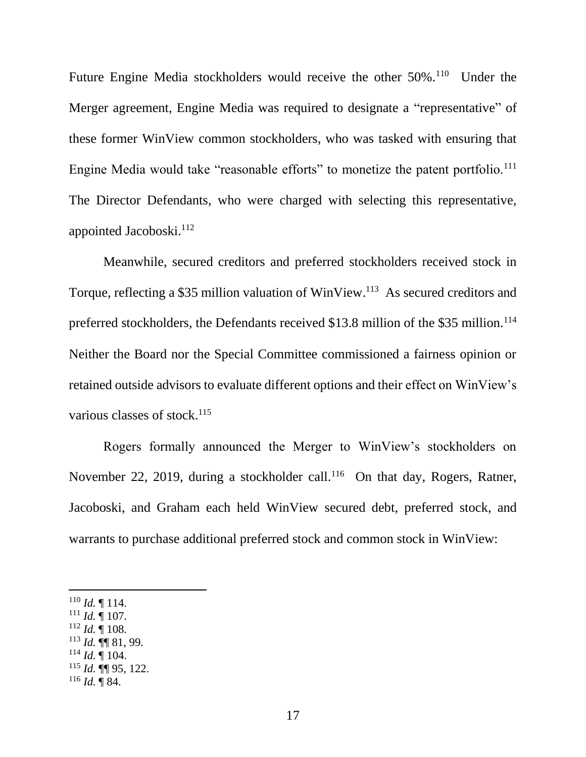Future Engine Media stockholders would receive the other  $50\%$ .<sup>110</sup> Under the Merger agreement, Engine Media was required to designate a "representative" of these former WinView common stockholders, who was tasked with ensuring that Engine Media would take "reasonable efforts" to monetize the patent portfolio.<sup>111</sup> The Director Defendants, who were charged with selecting this representative, appointed Jacoboski. 112

Meanwhile, secured creditors and preferred stockholders received stock in Torque, reflecting a \$35 million valuation of WinView. 113 As secured creditors and preferred stockholders, the Defendants received \$13.8 million of the \$35 million.<sup>114</sup> Neither the Board nor the Special Committee commissioned a fairness opinion or retained outside advisors to evaluate different options and their effect on WinView's various classes of stock.<sup>115</sup>

Rogers formally announced the Merger to WinView's stockholders on November 22, 2019, during a stockholder call.<sup>116</sup> On that day, Rogers, Ratner, Jacoboski, and Graham each held WinView secured debt, preferred stock, and warrants to purchase additional preferred stock and common stock in WinView:

 $112$  *Id.*  $\overline{9}$  108.

 $^{114}$  *Id.* ¶ 104.

 $110$  *Id.*  $\llbracket 114.$ 

 $111$  *Id.*  $\frac{1}{107}$ .

<sup>113</sup> *Id.* ¶¶ 81, 99.

<sup>115</sup> *Id.* ¶¶ 95, 122.

 $^{116}$  *Id.* ¶ 84.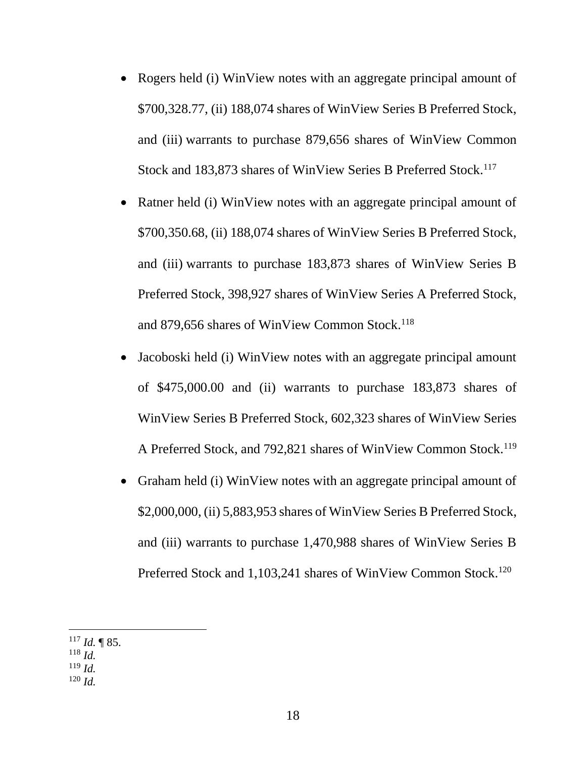- Rogers held (i) WinView notes with an aggregate principal amount of \$700,328.77, (ii) 188,074 shares of WinView Series B Preferred Stock, and (iii) warrants to purchase 879,656 shares of WinView Common Stock and 183,873 shares of WinView Series B Preferred Stock.<sup>117</sup>
- Ratner held (i) WinView notes with an aggregate principal amount of \$700,350.68, (ii) 188,074 shares of WinView Series B Preferred Stock, and (iii) warrants to purchase 183,873 shares of WinView Series B Preferred Stock, 398,927 shares of WinView Series A Preferred Stock, and 879,656 shares of WinView Common Stock.<sup>118</sup>
- Jacoboski held (i) WinView notes with an aggregate principal amount of \$475,000.00 and (ii) warrants to purchase 183,873 shares of WinView Series B Preferred Stock, 602,323 shares of WinView Series A Preferred Stock, and 792,821 shares of WinView Common Stock.<sup>119</sup>
- Graham held (i) WinView notes with an aggregate principal amount of \$2,000,000, (ii) 5,883,953 shares of WinView Series B Preferred Stock, and (iii) warrants to purchase 1,470,988 shares of WinView Series B Preferred Stock and 1,103,241 shares of WinView Common Stock.<sup>120</sup>

 $117$  *Id.* 185.

<sup>118</sup> *Id.*

<sup>119</sup> *Id.*

<sup>120</sup> *Id.*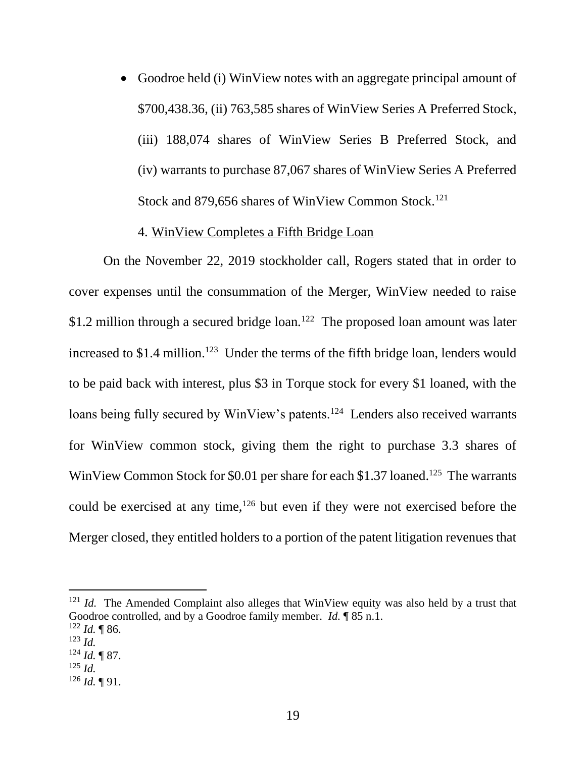• Goodroe held (i) WinView notes with an aggregate principal amount of \$700,438.36, (ii) 763,585 shares of WinView Series A Preferred Stock, (iii) 188,074 shares of WinView Series B Preferred Stock, and (iv) warrants to purchase 87,067 shares of WinView Series A Preferred Stock and 879,656 shares of WinView Common Stock.<sup>121</sup>

### 4. WinView Completes a Fifth Bridge Loan

On the November 22, 2019 stockholder call, Rogers stated that in order to cover expenses until the consummation of the Merger, WinView needed to raise \$1.2 million through a secured bridge loan.<sup>122</sup> The proposed loan amount was later increased to \$1.4 million.<sup>123</sup> Under the terms of the fifth bridge loan, lenders would to be paid back with interest, plus \$3 in Torque stock for every \$1 loaned, with the loans being fully secured by WinView's patents.<sup>124</sup> Lenders also received warrants for WinView common stock, giving them the right to purchase 3.3 shares of WinView Common Stock for \$0.01 per share for each \$1.37 loaned.<sup>125</sup> The warrants could be exercised at any time,<sup>126</sup> but even if they were not exercised before the Merger closed, they entitled holders to a portion of the patent litigation revenues that

<sup>&</sup>lt;sup>121</sup> *Id.* The Amended Complaint also alleges that WinView equity was also held by a trust that Goodroe controlled, and by a Goodroe family member. *Id.* ¶ 85 n.1.  $122$  *Id.* 186.

<sup>123</sup> *Id.*

 $124$  *Id.* 187.

<sup>125</sup> *Id.*

 $126$  *Id.*  $\P$  91.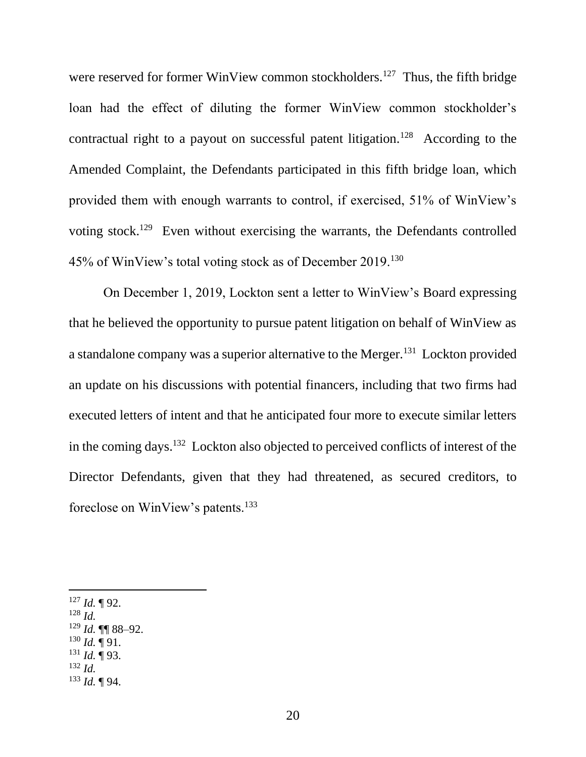were reserved for former WinView common stockholders.<sup>127</sup> Thus, the fifth bridge loan had the effect of diluting the former WinView common stockholder's contractual right to a payout on successful patent litigation.<sup>128</sup> According to the Amended Complaint, the Defendants participated in this fifth bridge loan, which provided them with enough warrants to control, if exercised, 51% of WinView's voting stock.<sup>129</sup> Even without exercising the warrants, the Defendants controlled 45% of WinView's total voting stock as of December 2019.<sup>130</sup>

On December 1, 2019, Lockton sent a letter to WinView's Board expressing that he believed the opportunity to pursue patent litigation on behalf of WinView as a standalone company was a superior alternative to the Merger.<sup>131</sup> Lockton provided an update on his discussions with potential financers, including that two firms had executed letters of intent and that he anticipated four more to execute similar letters in the coming days.<sup>132</sup> Lockton also objected to perceived conflicts of interest of the Director Defendants, given that they had threatened, as secured creditors, to foreclose on WinView's patents.<sup>133</sup>

- <sup>128</sup> *Id.*
- <sup>129</sup> *Id.* ¶¶ 88–92.
- $130$  *Id.*  $\P$  91.
- $^{131}$  *Id.* ¶ 93.
- <sup>132</sup> *Id.*
- <sup>133</sup> *Id.* ¶ 94.

<sup>127</sup> *Id.* ¶ 92.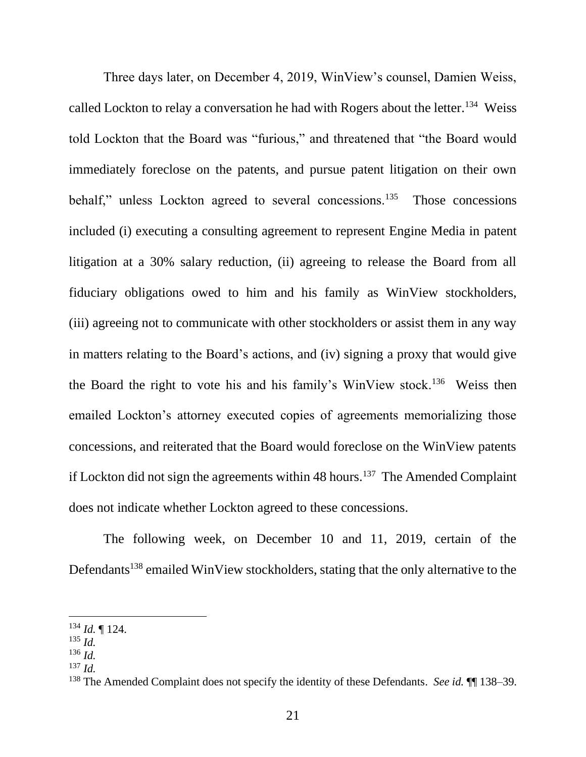Three days later, on December 4, 2019, WinView's counsel, Damien Weiss, called Lockton to relay a conversation he had with Rogers about the letter.<sup>134</sup> Weiss told Lockton that the Board was "furious," and threatened that "the Board would immediately foreclose on the patents, and pursue patent litigation on their own behalf," unless Lockton agreed to several concessions.<sup>135</sup> Those concessions included (i) executing a consulting agreement to represent Engine Media in patent litigation at a 30% salary reduction, (ii) agreeing to release the Board from all fiduciary obligations owed to him and his family as WinView stockholders, (iii) agreeing not to communicate with other stockholders or assist them in any way in matters relating to the Board's actions, and (iv) signing a proxy that would give the Board the right to vote his and his family's WinView stock.<sup>136</sup> Weiss then emailed Lockton's attorney executed copies of agreements memorializing those concessions, and reiterated that the Board would foreclose on the WinView patents if Lockton did not sign the agreements within 48 hours.<sup>137</sup> The Amended Complaint does not indicate whether Lockton agreed to these concessions.

The following week, on December 10 and 11, 2019, certain of the Defendants<sup>138</sup> emailed WinView stockholders, stating that the only alternative to the

<sup>134</sup> *Id.* ¶ 124.

<sup>135</sup> *Id.*

<sup>136</sup> *Id.*

<sup>137</sup> *Id.*

<sup>138</sup> The Amended Complaint does not specify the identity of these Defendants. *See id.* ¶¶ 138–39.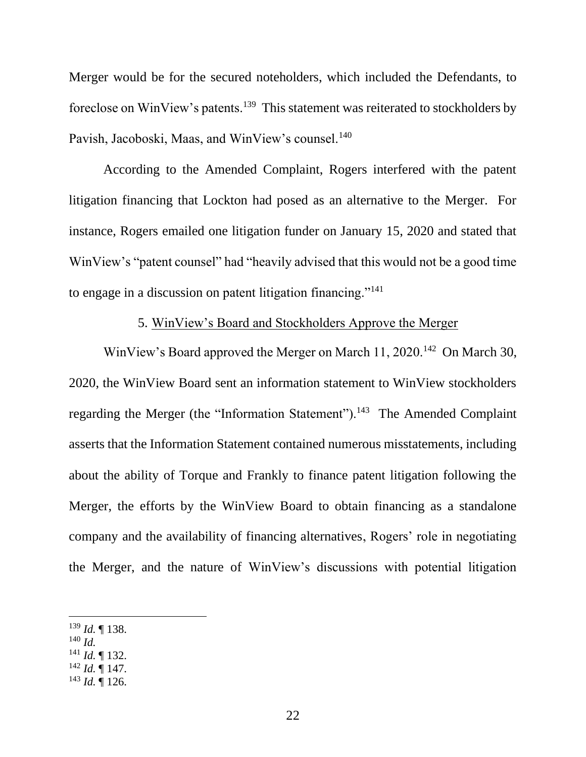Merger would be for the secured noteholders, which included the Defendants, to foreclose on WinView's patents.<sup>139</sup> This statement was reiterated to stockholders by Pavish, Jacoboski, Maas, and WinView's counsel.<sup>140</sup>

According to the Amended Complaint, Rogers interfered with the patent litigation financing that Lockton had posed as an alternative to the Merger. For instance, Rogers emailed one litigation funder on January 15, 2020 and stated that WinView's "patent counsel" had "heavily advised that this would not be a good time to engage in a discussion on patent litigation financing."<sup>141</sup>

# 5. WinView's Board and Stockholders Approve the Merger

WinView's Board approved the Merger on March 11, 2020.<sup>142</sup> On March 30, 2020, the WinView Board sent an information statement to WinView stockholders regarding the Merger (the "Information Statement").<sup>143</sup> The Amended Complaint asserts that the Information Statement contained numerous misstatements, including about the ability of Torque and Frankly to finance patent litigation following the Merger, the efforts by the WinView Board to obtain financing as a standalone company and the availability of financing alternatives, Rogers' role in negotiating the Merger, and the nature of WinView's discussions with potential litigation

- <sup>140</sup> *Id.*
- $^{141}$  *Id.* ¶ 132.
- $^{142}$  *Id.*  $\mathbf{I}$  147.
- $143$  *Id.*  $\overline{$  126.

<sup>139</sup> *Id.* ¶ 138.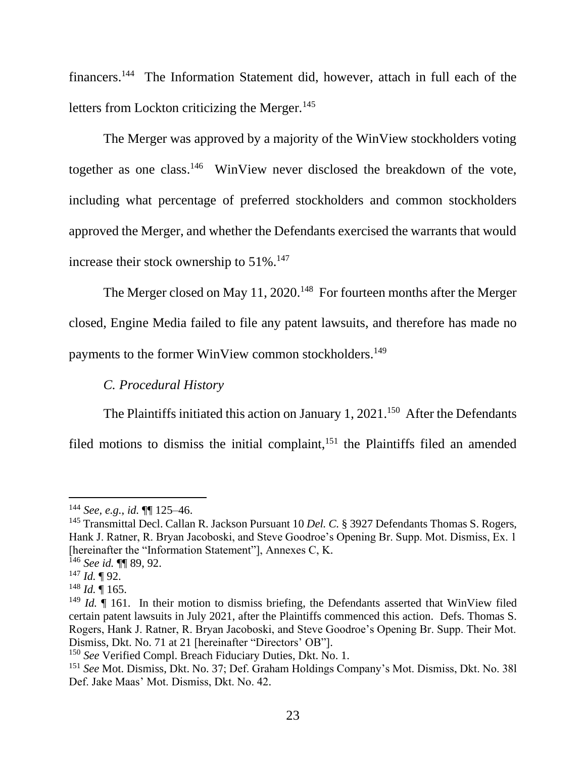financers.<sup>144</sup> The Information Statement did, however, attach in full each of the letters from Lockton criticizing the Merger. $145$ 

The Merger was approved by a majority of the WinView stockholders voting together as one class.<sup>146</sup> WinView never disclosed the breakdown of the vote, including what percentage of preferred stockholders and common stockholders approved the Merger, and whether the Defendants exercised the warrants that would increase their stock ownership to  $51\%$ .<sup>147</sup>

The Merger closed on May 11, 2020.<sup>148</sup> For fourteen months after the Merger closed, Engine Media failed to file any patent lawsuits, and therefore has made no payments to the former WinView common stockholders.<sup>149</sup>

# *C. Procedural History*

The Plaintiffs initiated this action on January 1, 2021.<sup>150</sup> After the Defendants

filed motions to dismiss the initial complaint,<sup>151</sup> the Plaintiffs filed an amended

<sup>144</sup> *See, e.g.*, *id.* ¶¶ 125–46.

<sup>145</sup> Transmittal Decl. Callan R. Jackson Pursuant 10 *Del. C.* § 3927 Defendants Thomas S. Rogers, Hank J. Ratner, R. Bryan Jacoboski, and Steve Goodroe's Opening Br. Supp. Mot. Dismiss, Ex. 1 [hereinafter the "Information Statement"], Annexes C, K.

<sup>146</sup> *See id.* ¶¶ 89, 92.

<sup>147</sup> *Id.* ¶ 92.

 $^{148}$  *Id.* ¶ 165.

<sup>&</sup>lt;sup>149</sup> *Id.*  $\blacksquare$  161. In their motion to dismiss briefing, the Defendants asserted that WinView filed certain patent lawsuits in July 2021, after the Plaintiffs commenced this action. Defs. Thomas S. Rogers, Hank J. Ratner, R. Bryan Jacoboski, and Steve Goodroe's Opening Br. Supp. Their Mot. Dismiss, Dkt. No. 71 at 21 [hereinafter "Directors' OB"].

<sup>150</sup> *See* Verified Compl. Breach Fiduciary Duties, Dkt. No. 1.

<sup>151</sup> *See* Mot. Dismiss, Dkt. No. 37; Def. Graham Holdings Company's Mot. Dismiss, Dkt. No. 38l Def. Jake Maas' Mot. Dismiss, Dkt. No. 42.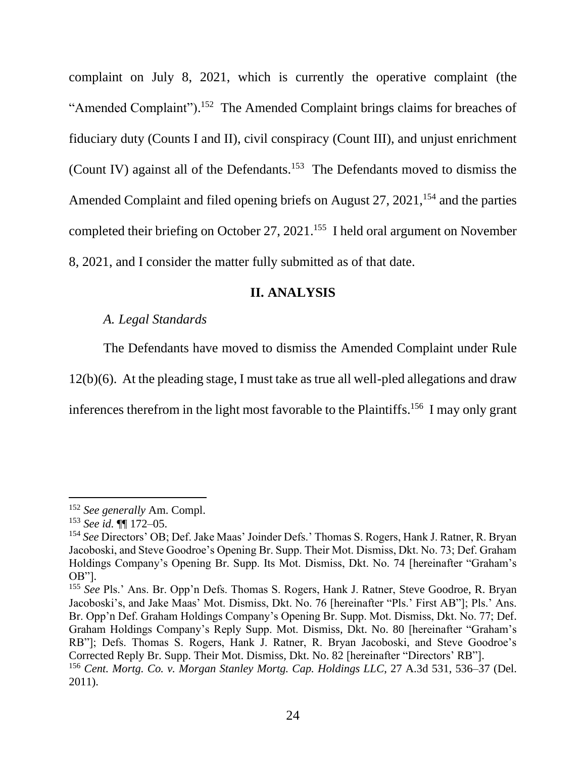complaint on July 8, 2021, which is currently the operative complaint (the "Amended Complaint").<sup>152</sup> The Amended Complaint brings claims for breaches of fiduciary duty (Counts I and II), civil conspiracy (Count III), and unjust enrichment (Count IV) against all of the Defendants.<sup>153</sup> The Defendants moved to dismiss the Amended Complaint and filed opening briefs on August  $27$ ,  $2021$ ,  $154$  and the parties completed their briefing on October 27, 2021.<sup>155</sup> I held oral argument on November 8, 2021, and I consider the matter fully submitted as of that date.

#### **II. ANALYSIS**

# *A. Legal Standards*

The Defendants have moved to dismiss the Amended Complaint under Rule 12(b)(6). At the pleading stage, I must take as true all well-pled allegations and draw inferences therefrom in the light most favorable to the Plaintiffs.<sup>156</sup> I may only grant

<sup>152</sup> *See generally* Am. Compl.

<sup>153</sup> *See id.* ¶¶ 172–05.

<sup>154</sup> *See* Directors' OB; Def. Jake Maas' Joinder Defs.' Thomas S. Rogers, Hank J. Ratner, R. Bryan Jacoboski, and Steve Goodroe's Opening Br. Supp. Their Mot. Dismiss, Dkt. No. 73; Def. Graham Holdings Company's Opening Br. Supp. Its Mot. Dismiss, Dkt. No. 74 [hereinafter "Graham's OB"].

<sup>155</sup> *See* Pls.' Ans. Br. Opp'n Defs. Thomas S. Rogers, Hank J. Ratner, Steve Goodroe, R. Bryan Jacoboski's, and Jake Maas' Mot. Dismiss, Dkt. No. 76 [hereinafter "Pls.' First AB"]; Pls.' Ans. Br. Opp'n Def. Graham Holdings Company's Opening Br. Supp. Mot. Dismiss, Dkt. No. 77; Def. Graham Holdings Company's Reply Supp. Mot. Dismiss, Dkt. No. 80 [hereinafter "Graham's RB"]; Defs. Thomas S. Rogers, Hank J. Ratner, R. Bryan Jacoboski, and Steve Goodroe's Corrected Reply Br. Supp. Their Mot. Dismiss, Dkt. No. 82 [hereinafter "Directors' RB"]. <sup>156</sup> *Cent. Mortg. Co. v. Morgan Stanley Mortg. Cap. Holdings LLC*, 27 A.3d 531, 536–37 (Del. 2011).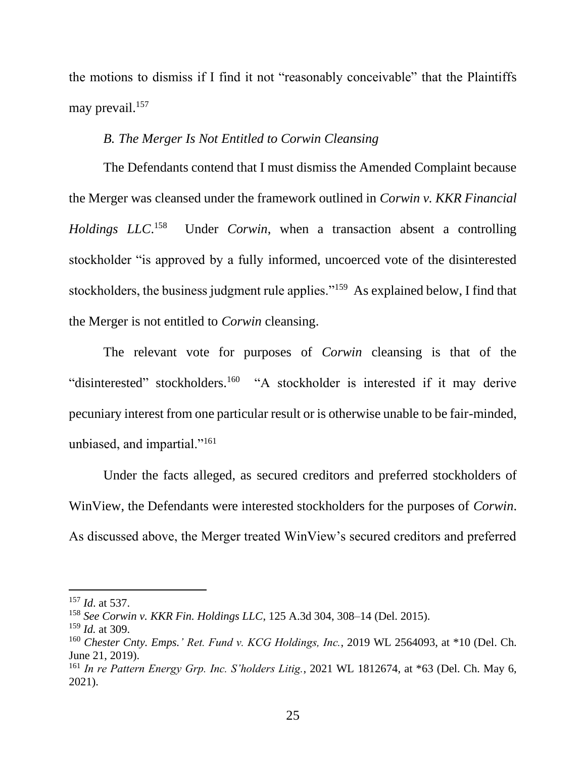the motions to dismiss if I find it not "reasonably conceivable" that the Plaintiffs may prevail.<sup>157</sup>

#### *B. The Merger Is Not Entitled to Corwin Cleansing*

The Defendants contend that I must dismiss the Amended Complaint because the Merger was cleansed under the framework outlined in *Corwin v. KKR Financial Holdings LLC*. 158 Under *Corwin*, when a transaction absent a controlling stockholder "is approved by a fully informed, uncoerced vote of the disinterested stockholders, the business judgment rule applies."<sup>159</sup> As explained below, I find that the Merger is not entitled to *Corwin* cleansing.

The relevant vote for purposes of *Corwin* cleansing is that of the "disinterested" stockholders.<sup>160</sup> "A stockholder is interested if it may derive pecuniary interest from one particular result or is otherwise unable to be fair-minded, unbiased, and impartial."<sup>161</sup>

Under the facts alleged, as secured creditors and preferred stockholders of WinView, the Defendants were interested stockholders for the purposes of *Corwin*. As discussed above, the Merger treated WinView's secured creditors and preferred

<sup>157</sup> *Id*. at 537.

<sup>158</sup> *See Corwin v. KKR Fin. Holdings LLC*, 125 A.3d 304, 308–14 (Del. 2015).

<sup>159</sup> *Id.* at 309.

<sup>160</sup> *Chester Cnty. Emps.' Ret. Fund v. KCG Holdings, Inc.*, 2019 WL 2564093, at \*10 (Del. Ch. June 21, 2019).

<sup>161</sup> *In re Pattern Energy Grp. Inc. S'holders Litig.*, 2021 WL 1812674, at \*63 (Del. Ch. May 6, 2021).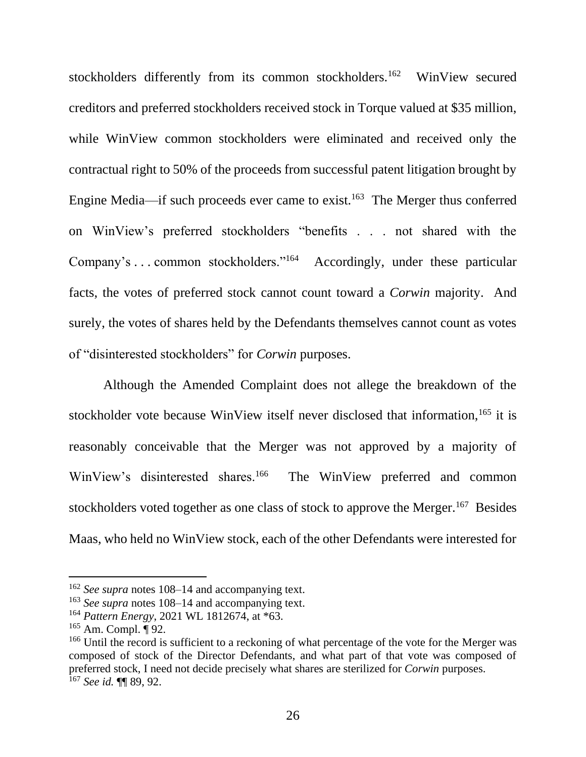stockholders differently from its common stockholders.<sup>162</sup> WinView secured creditors and preferred stockholders received stock in Torque valued at \$35 million, while WinView common stockholders were eliminated and received only the contractual right to 50% of the proceeds from successful patent litigation brought by Engine Media—if such proceeds ever came to exist.<sup>163</sup> The Merger thus conferred on WinView's preferred stockholders "benefits . . . not shared with the Company's ... common stockholders."<sup>164</sup> Accordingly, under these particular facts, the votes of preferred stock cannot count toward a *Corwin* majority. And surely, the votes of shares held by the Defendants themselves cannot count as votes of "disinterested stockholders" for *Corwin* purposes.

Although the Amended Complaint does not allege the breakdown of the stockholder vote because WinView itself never disclosed that information,<sup>165</sup> it is reasonably conceivable that the Merger was not approved by a majority of WinView's disinterested shares.<sup>166</sup> The WinView preferred and common stockholders voted together as one class of stock to approve the Merger.<sup>167</sup> Besides Maas, who held no WinView stock, each of the other Defendants were interested for

<sup>162</sup> *See supra* notes 108–14 and accompanying text.

<sup>163</sup> *See supra* notes 108–14 and accompanying text.

<sup>164</sup> *Pattern Energy*, 2021 WL 1812674, at \*63.

<sup>165</sup> Am. Compl. ¶ 92.

<sup>&</sup>lt;sup>166</sup> Until the record is sufficient to a reckoning of what percentage of the vote for the Merger was composed of stock of the Director Defendants, and what part of that vote was composed of preferred stock, I need not decide precisely what shares are sterilized for *Corwin* purposes. <sup>167</sup> *See id.* ¶¶ 89, 92.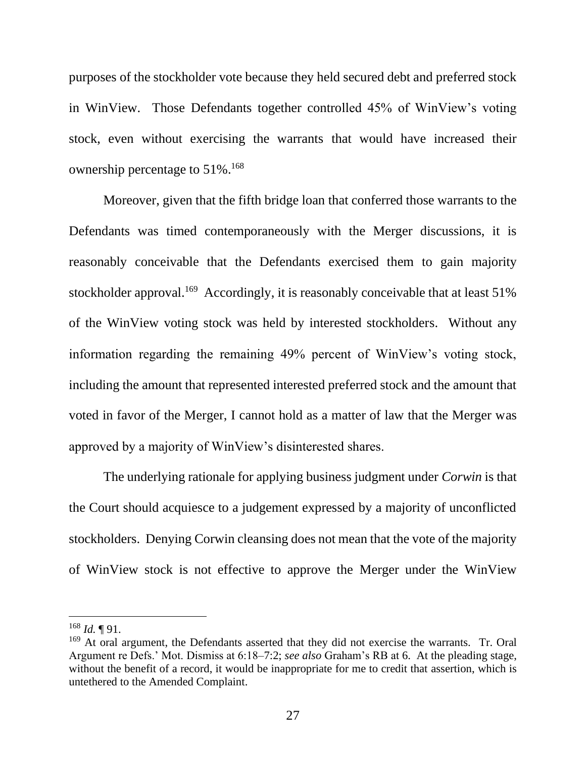purposes of the stockholder vote because they held secured debt and preferred stock in WinView. Those Defendants together controlled 45% of WinView's voting stock, even without exercising the warrants that would have increased their ownership percentage to 51%.<sup>168</sup>

Moreover, given that the fifth bridge loan that conferred those warrants to the Defendants was timed contemporaneously with the Merger discussions, it is reasonably conceivable that the Defendants exercised them to gain majority stockholder approval.<sup>169</sup> Accordingly, it is reasonably conceivable that at least 51% of the WinView voting stock was held by interested stockholders. Without any information regarding the remaining 49% percent of WinView's voting stock, including the amount that represented interested preferred stock and the amount that voted in favor of the Merger, I cannot hold as a matter of law that the Merger was approved by a majority of WinView's disinterested shares.

The underlying rationale for applying business judgment under *Corwin* is that the Court should acquiesce to a judgement expressed by a majority of unconflicted stockholders. Denying Corwin cleansing does not mean that the vote of the majority of WinView stock is not effective to approve the Merger under the WinView

 $168$  *Id.* 191.

<sup>&</sup>lt;sup>169</sup> At oral argument, the Defendants asserted that they did not exercise the warrants. Tr. Oral Argument re Defs.' Mot. Dismiss at 6:18–7:2; *see also* Graham's RB at 6. At the pleading stage, without the benefit of a record, it would be inappropriate for me to credit that assertion, which is untethered to the Amended Complaint.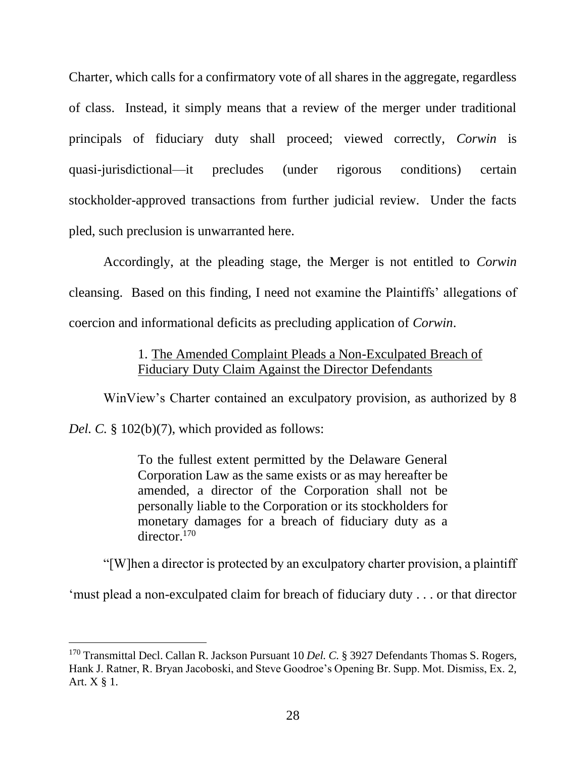Charter, which calls for a confirmatory vote of all shares in the aggregate, regardless of class. Instead, it simply means that a review of the merger under traditional principals of fiduciary duty shall proceed; viewed correctly, *Corwin* is quasi-jurisdictional—it precludes (under rigorous conditions) certain stockholder-approved transactions from further judicial review. Under the facts pled, such preclusion is unwarranted here.

Accordingly, at the pleading stage, the Merger is not entitled to *Corwin*  cleansing. Based on this finding, I need not examine the Plaintiffs' allegations of coercion and informational deficits as precluding application of *Corwin*.

# 1. The Amended Complaint Pleads a Non-Exculpated Breach of Fiduciary Duty Claim Against the Director Defendants

WinView's Charter contained an exculpatory provision, as authorized by 8 *Del. C.* § 102(b)(7), which provided as follows:

> To the fullest extent permitted by the Delaware General Corporation Law as the same exists or as may hereafter be amended, a director of the Corporation shall not be personally liable to the Corporation or its stockholders for monetary damages for a breach of fiduciary duty as a director.<sup>170</sup>

"[W]hen a director is protected by an exculpatory charter provision, a plaintiff

'must plead a non-exculpated claim for breach of fiduciary duty . . . or that director

<sup>170</sup> Transmittal Decl. Callan R. Jackson Pursuant 10 *Del. C.* § 3927 Defendants Thomas S. Rogers, Hank J. Ratner, R. Bryan Jacoboski, and Steve Goodroe's Opening Br. Supp. Mot. Dismiss, Ex. 2, Art. X § 1.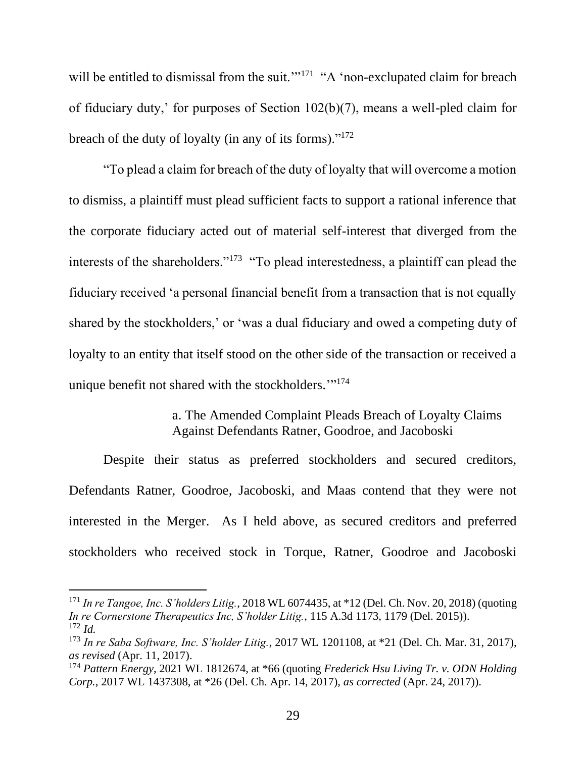will be entitled to dismissal from the suit."<sup>171</sup> "A 'non-exclupated claim for breach of fiduciary duty,' for purposes of Section 102(b)(7), means a well-pled claim for breach of the duty of loyalty (in any of its forms). $"172"$ 

"To plead a claim for breach of the duty of loyalty that will overcome a motion to dismiss, a plaintiff must plead sufficient facts to support a rational inference that the corporate fiduciary acted out of material self-interest that diverged from the interests of the shareholders."<sup>173</sup> "To plead interestedness, a plaintiff can plead the fiduciary received 'a personal financial benefit from a transaction that is not equally shared by the stockholders,' or 'was a dual fiduciary and owed a competing duty of loyalty to an entity that itself stood on the other side of the transaction or received a unique benefit not shared with the stockholders."<sup>174</sup>

### a. The Amended Complaint Pleads Breach of Loyalty Claims Against Defendants Ratner, Goodroe, and Jacoboski

Despite their status as preferred stockholders and secured creditors, Defendants Ratner, Goodroe, Jacoboski, and Maas contend that they were not interested in the Merger. As I held above, as secured creditors and preferred stockholders who received stock in Torque, Ratner, Goodroe and Jacoboski

<sup>171</sup> *In re Tangoe, Inc. S'holders Litig.*, 2018 WL 6074435, at \*12 (Del. Ch. Nov. 20, 2018) (quoting *In re Cornerstone Therapeutics Inc, S'holder Litig.*, 115 A.3d 1173, 1179 (Del. 2015)). <sup>172</sup> *Id.*

<sup>173</sup> *In re Saba Software, Inc. S'holder Litig.*, 2017 WL 1201108, at \*21 (Del. Ch. Mar. 31, 2017), *as revised* (Apr. 11, 2017).

<sup>174</sup> *Pattern Energy*, 2021 WL 1812674, at \*66 (quoting *Frederick Hsu Living Tr. v. ODN Holding Corp.*, 2017 WL 1437308, at \*26 (Del. Ch. Apr. 14, 2017), *as corrected* (Apr. 24, 2017)).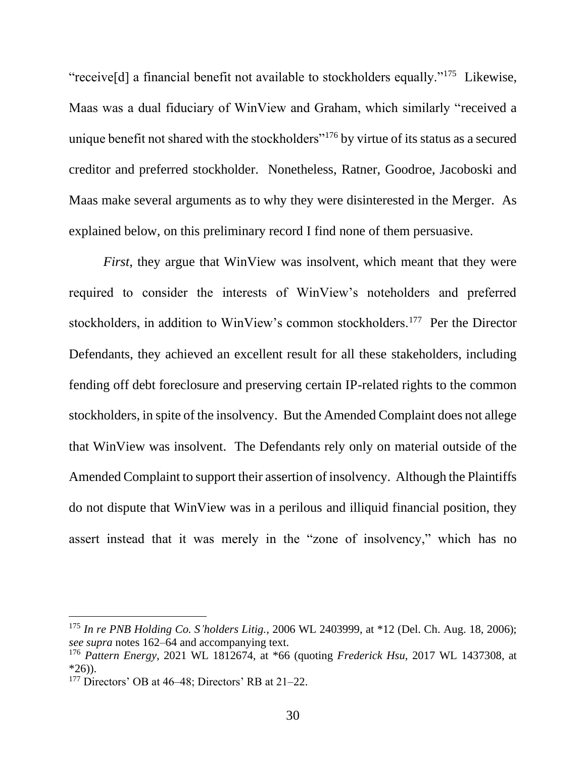"receive[d] a financial benefit not available to stockholders equally."<sup>175</sup> Likewise, Maas was a dual fiduciary of WinView and Graham, which similarly "received a unique benefit not shared with the stockholders"<sup>176</sup> by virtue of its status as a secured creditor and preferred stockholder. Nonetheless, Ratner, Goodroe, Jacoboski and Maas make several arguments as to why they were disinterested in the Merger. As explained below, on this preliminary record I find none of them persuasive.

*First*, they argue that WinView was insolvent, which meant that they were required to consider the interests of WinView's noteholders and preferred stockholders, in addition to WinView's common stockholders.<sup>177</sup> Per the Director Defendants, they achieved an excellent result for all these stakeholders, including fending off debt foreclosure and preserving certain IP-related rights to the common stockholders, in spite of the insolvency. But the Amended Complaint does not allege that WinView was insolvent. The Defendants rely only on material outside of the Amended Complaint to support their assertion of insolvency. Although the Plaintiffs do not dispute that WinView was in a perilous and illiquid financial position, they assert instead that it was merely in the "zone of insolvency," which has no

<sup>175</sup> *In re PNB Holding Co. S'holders Litig.*, 2006 WL 2403999, at \*12 (Del. Ch. Aug. 18, 2006); *see supra* notes 162–64 and accompanying text.

<sup>176</sup> *Pattern Energy*, 2021 WL 1812674, at \*66 (quoting *Frederick Hsu*, 2017 WL 1437308, at  $*26$ ).

<sup>&</sup>lt;sup>177</sup> Directors' OB at  $46-48$ ; Directors' RB at  $21-22$ .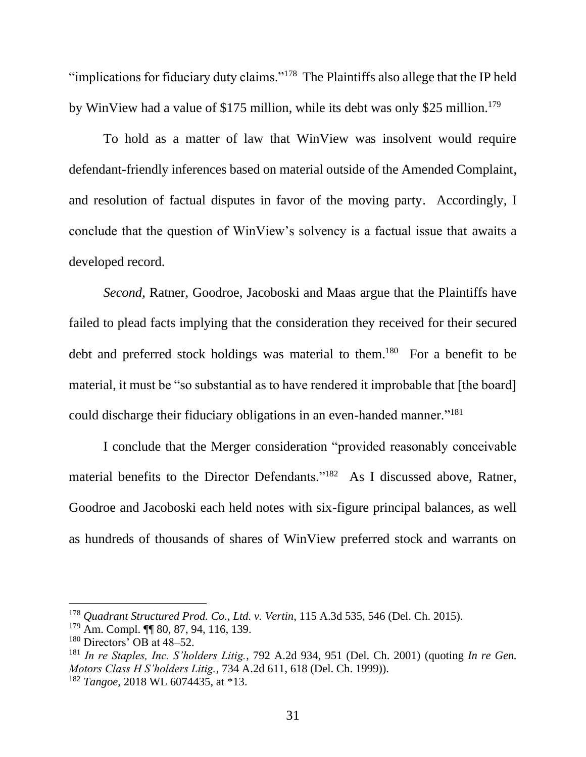"implications for fiduciary duty claims."<sup>178</sup> The Plaintiffs also allege that the IP held by WinView had a value of \$175 million, while its debt was only \$25 million.<sup>179</sup>

To hold as a matter of law that WinView was insolvent would require defendant-friendly inferences based on material outside of the Amended Complaint, and resolution of factual disputes in favor of the moving party. Accordingly, I conclude that the question of WinView's solvency is a factual issue that awaits a developed record.

*Second*, Ratner, Goodroe, Jacoboski and Maas argue that the Plaintiffs have failed to plead facts implying that the consideration they received for their secured debt and preferred stock holdings was material to them.<sup>180</sup> For a benefit to be material, it must be "so substantial as to have rendered it improbable that [the board] could discharge their fiduciary obligations in an even-handed manner."<sup>181</sup>

I conclude that the Merger consideration "provided reasonably conceivable material benefits to the Director Defendants."<sup>182</sup> As I discussed above, Ratner, Goodroe and Jacoboski each held notes with six-figure principal balances, as well as hundreds of thousands of shares of WinView preferred stock and warrants on

<sup>178</sup> *Quadrant Structured Prod. Co., Ltd. v. Vertin*, 115 A.3d 535, 546 (Del. Ch. 2015).

<sup>179</sup> Am. Compl. ¶¶ 80, 87, 94, 116, 139.

 $180$  Directors' OB at  $48-52$ .

<sup>181</sup> *In re Staples, Inc. S'holders Litig.*, 792 A.2d 934, 951 (Del. Ch. 2001) (quoting *In re Gen. Motors Class H S'holders Litig.*, 734 A.2d 611, 618 (Del. Ch. 1999)).

<sup>182</sup> *Tangoe*, 2018 WL 6074435, at \*13.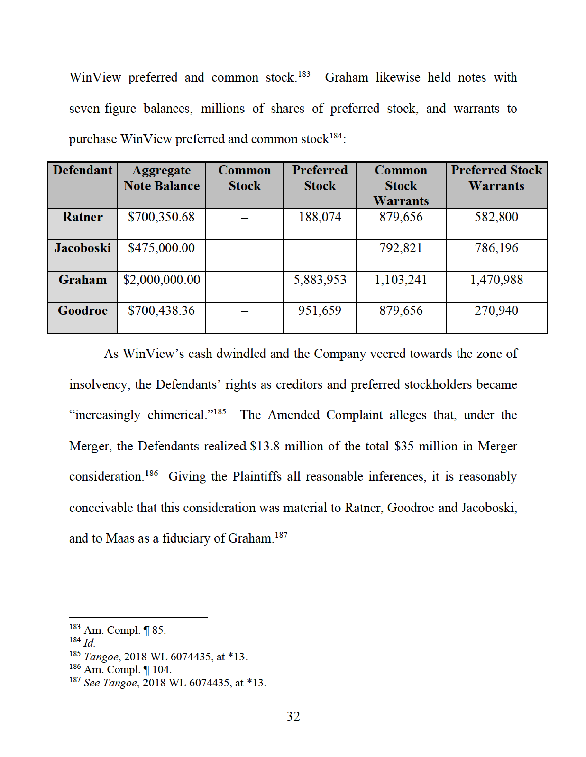WinView preferred and common stock.<sup>183</sup> Graham likewise held notes with seven-figure balances, millions of shares of preferred stock, and warrants to purchase WinView preferred and common stock<sup>184</sup>:

| <b>Defendant</b> | <b>Aggregate</b>    | Common       | <b>Preferred</b> | Common          | <b>Preferred Stock</b> |
|------------------|---------------------|--------------|------------------|-----------------|------------------------|
|                  | <b>Note Balance</b> | <b>Stock</b> | <b>Stock</b>     | <b>Stock</b>    | <b>Warrants</b>        |
|                  |                     |              |                  | <b>Warrants</b> |                        |
| Ratner           | \$700,350.68        |              | 188,074          | 879,656         | 582,800                |
| <b>Jacoboski</b> | \$475,000.00        |              |                  | 792,821         | 786,196                |
| Graham           | \$2,000,000.00      |              | 5,883,953        | 1,103,241       | 1,470,988              |
| Goodroe          | \$700,438.36        |              | 951,659          | 879,656         | 270,940                |

As WinView's cash dwindled and the Company veered towards the zone of insolvency, the Defendants' rights as creditors and preferred stockholders became "increasingly chimerical."<sup>185</sup> The Amended Complaint alleges that, under the Merger, the Defendants realized \$13.8 million of the total \$35 million in Merger consideration.<sup>186</sup> Giving the Plaintiffs all reasonable inferences, it is reasonably conceivable that this consideration was material to Ratner, Goodroe and Jacoboski, and to Maas as a fiduciary of Graham.<sup>187</sup>

 $183$  Am. Compl.  $\P$  85.

 $184$  *Id.* 

<sup>&</sup>lt;sup>185</sup> Tangoe, 2018 WL 6074435, at \*13.

<sup>&</sup>lt;sup>186</sup> Am. Compl. ¶ 104.

<sup>&</sup>lt;sup>187</sup> See Tangoe, 2018 WL 6074435, at \*13.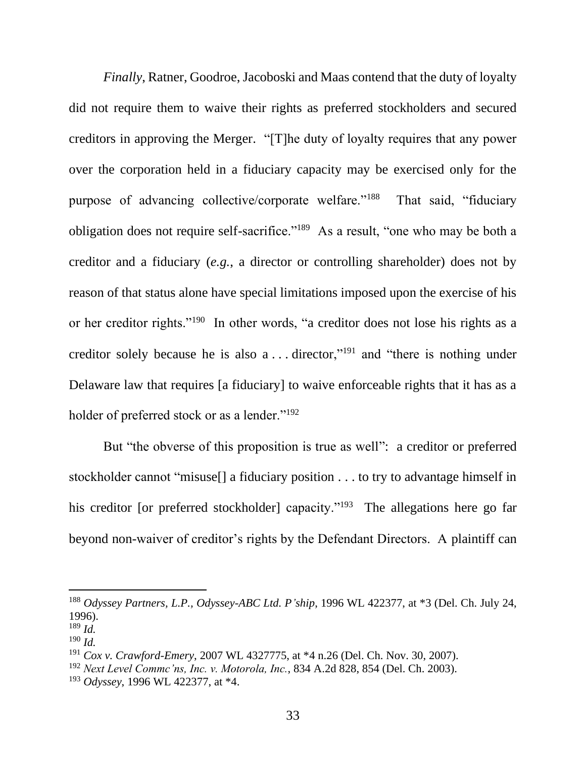*Finally*, Ratner, Goodroe, Jacoboski and Maas contend that the duty of loyalty did not require them to waive their rights as preferred stockholders and secured creditors in approving the Merger. "[T]he duty of loyalty requires that any power over the corporation held in a fiduciary capacity may be exercised only for the purpose of advancing collective/corporate welfare."<sup>188</sup> That said, "fiduciary obligation does not require self-sacrifice."<sup>189</sup> As a result, "one who may be both a creditor and a fiduciary (*e.g.*, a director or controlling shareholder) does not by reason of that status alone have special limitations imposed upon the exercise of his or her creditor rights."<sup>190</sup> In other words, "a creditor does not lose his rights as a creditor solely because he is also a . . . director,"<sup>191</sup> and "there is nothing under Delaware law that requires [a fiduciary] to waive enforceable rights that it has as a holder of preferred stock or as a lender."<sup>192</sup>

But "the obverse of this proposition is true as well": a creditor or preferred stockholder cannot "misuse[] a fiduciary position . . . to try to advantage himself in his creditor [or preferred stockholder] capacity."<sup>193</sup> The allegations here go far beyond non-waiver of creditor's rights by the Defendant Directors. A plaintiff can

<sup>188</sup> *Odyssey Partners, L.P., Odyssey-ABC Ltd. P'ship*, 1996 WL 422377, at \*3 (Del. Ch. July 24, 1996).

<sup>189</sup> *Id.*

<sup>190</sup> *Id.*

<sup>191</sup> *Cox v. Crawford-Emery*, 2007 WL 4327775, at \*4 n.26 (Del. Ch. Nov. 30, 2007).

<sup>192</sup> *Next Level Commc'ns, Inc. v. Motorola, Inc.*, 834 A.2d 828, 854 (Del. Ch. 2003).

<sup>193</sup> *Odyssey*, 1996 WL 422377, at \*4.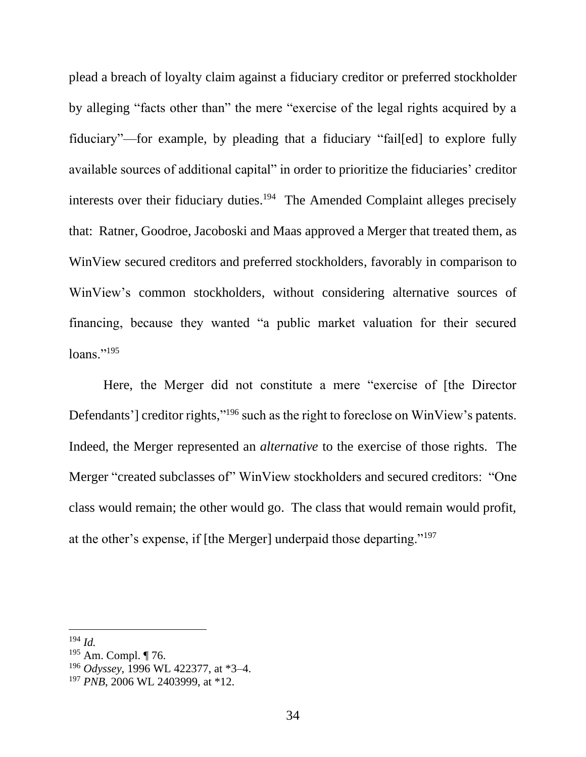plead a breach of loyalty claim against a fiduciary creditor or preferred stockholder by alleging "facts other than" the mere "exercise of the legal rights acquired by a fiduciary"—for example, by pleading that a fiduciary "fail[ed] to explore fully available sources of additional capital" in order to prioritize the fiduciaries' creditor interests over their fiduciary duties.<sup>194</sup> The Amended Complaint alleges precisely that: Ratner, Goodroe, Jacoboski and Maas approved a Merger that treated them, as WinView secured creditors and preferred stockholders, favorably in comparison to WinView's common stockholders, without considering alternative sources of financing, because they wanted "a public market valuation for their secured  $loans.$ "<sup>195</sup>

Here, the Merger did not constitute a mere "exercise of [the Director Defendants'] creditor rights,"<sup>196</sup> such as the right to foreclose on WinView's patents. Indeed, the Merger represented an *alternative* to the exercise of those rights. The Merger "created subclasses of" WinView stockholders and secured creditors: "One class would remain; the other would go. The class that would remain would profit, at the other's expense, if [the Merger] underpaid those departing."<sup>197</sup>

<sup>194</sup> *Id.*

 $195$  Am. Compl. ¶ 76.

<sup>196</sup> *Odyssey*, 1996 WL 422377, at \*3–4.

<sup>197</sup> *PNB*, 2006 WL 2403999, at \*12.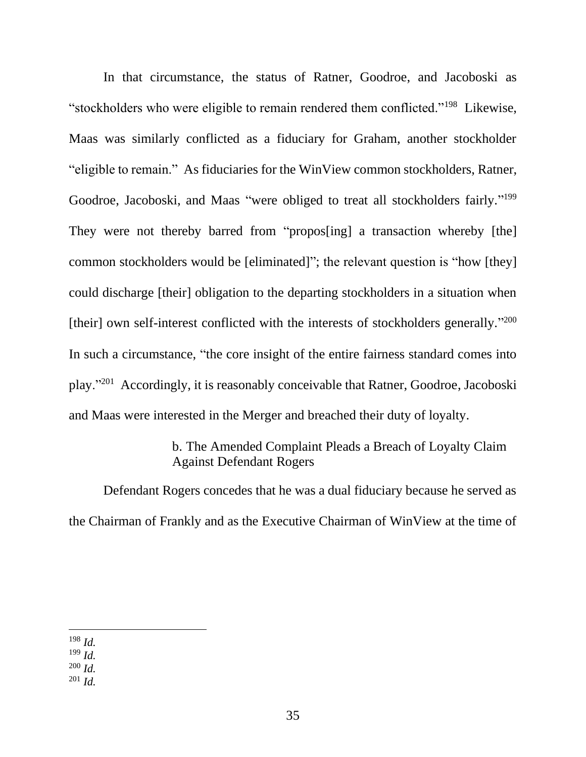In that circumstance, the status of Ratner, Goodroe, and Jacoboski as "stockholders who were eligible to remain rendered them conflicted."<sup>198</sup> Likewise, Maas was similarly conflicted as a fiduciary for Graham, another stockholder "eligible to remain." As fiduciaries for the WinView common stockholders, Ratner, Goodroe, Jacoboski, and Maas "were obliged to treat all stockholders fairly."<sup>199</sup> They were not thereby barred from "propos[ing] a transaction whereby [the] common stockholders would be [eliminated]"; the relevant question is "how [they] could discharge [their] obligation to the departing stockholders in a situation when [their] own self-interest conflicted with the interests of stockholders generally."<sup>200</sup> In such a circumstance, "the core insight of the entire fairness standard comes into play."<sup>201</sup> Accordingly, it is reasonably conceivable that Ratner, Goodroe, Jacoboski and Maas were interested in the Merger and breached their duty of loyalty.

# b. The Amended Complaint Pleads a Breach of Loyalty Claim Against Defendant Rogers

Defendant Rogers concedes that he was a dual fiduciary because he served as the Chairman of Frankly and as the Executive Chairman of WinView at the time of

<sup>201</sup> *Id.*

<sup>198</sup> *Id.*

<sup>199</sup> *Id.*

<sup>200</sup> *Id.*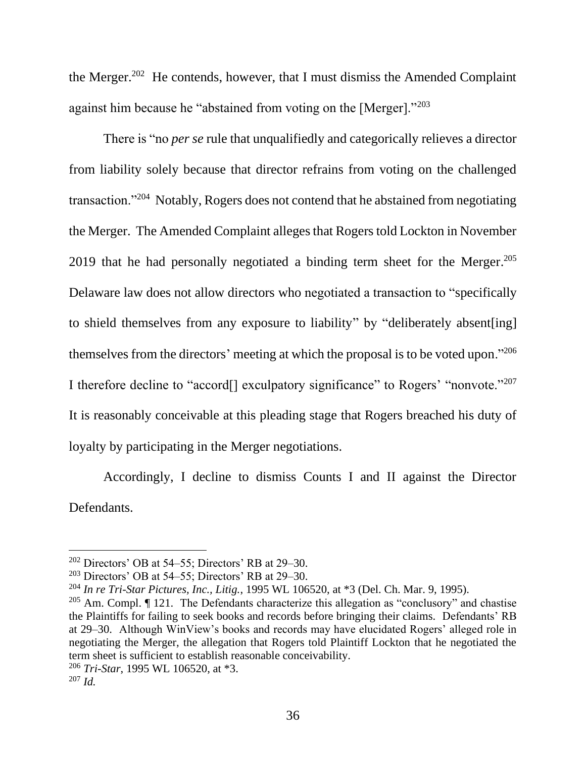the Merger.<sup>202</sup> He contends, however, that I must dismiss the Amended Complaint against him because he "abstained from voting on the [Merger]."<sup>203</sup>

There is "no *per se* rule that unqualifiedly and categorically relieves a director from liability solely because that director refrains from voting on the challenged transaction."<sup>204</sup> Notably, Rogers does not contend that he abstained from negotiating the Merger. The Amended Complaint alleges that Rogers told Lockton in November 2019 that he had personally negotiated a binding term sheet for the Merger.<sup>205</sup> Delaware law does not allow directors who negotiated a transaction to "specifically to shield themselves from any exposure to liability" by "deliberately absent[ing] themselves from the directors' meeting at which the proposal is to be voted upon."<sup>206</sup> I therefore decline to "accord<sup>[]</sup> exculpatory significance" to Rogers' "nonvote."<sup>207</sup> It is reasonably conceivable at this pleading stage that Rogers breached his duty of loyalty by participating in the Merger negotiations.

Accordingly, I decline to dismiss Counts I and II against the Director Defendants.

 $202$  Directors' OB at 54–55; Directors' RB at 29–30.

 $203$  Directors' OB at 54–55; Directors' RB at 29–30.

<sup>204</sup> *In re Tri-Star Pictures, Inc., Litig.*, 1995 WL 106520, at \*3 (Del. Ch. Mar. 9, 1995).

 $205$  Am. Compl.  $\P$  121. The Defendants characterize this allegation as "conclusory" and chastise the Plaintiffs for failing to seek books and records before bringing their claims. Defendants' RB at 29–30. Although WinView's books and records may have elucidated Rogers' alleged role in negotiating the Merger, the allegation that Rogers told Plaintiff Lockton that he negotiated the term sheet is sufficient to establish reasonable conceivability.

<sup>206</sup> *Tri-Star*, 1995 WL 106520, at \*3.

<sup>207</sup> *Id.*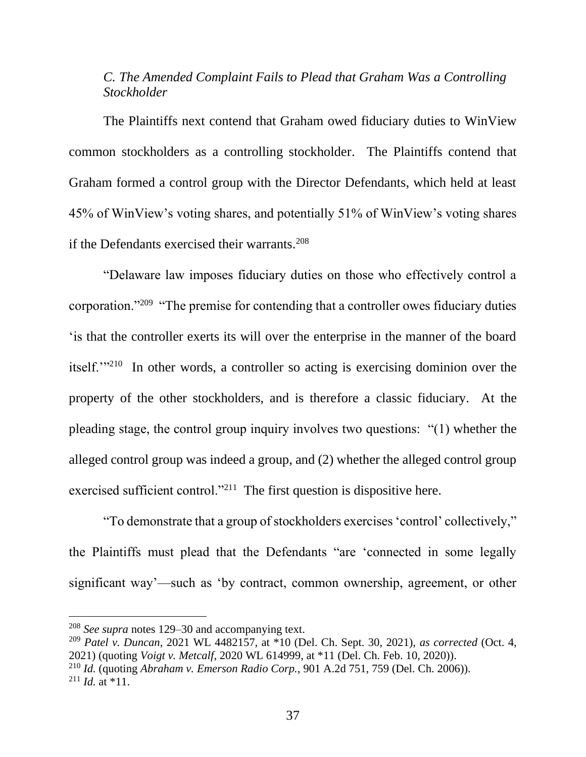# *C. The Amended Complaint Fails to Plead that Graham Was a Controlling Stockholder*

The Plaintiffs next contend that Graham owed fiduciary duties to WinView common stockholders as a controlling stockholder. The Plaintiffs contend that Graham formed a control group with the Director Defendants, which held at least 45% of WinView's voting shares, and potentially 51% of WinView's voting shares if the Defendants exercised their warrants. $208$ 

"Delaware law imposes fiduciary duties on those who effectively control a corporation."<sup>209</sup> "The premise for contending that a controller owes fiduciary duties 'is that the controller exerts its will over the enterprise in the manner of the board itself."<sup>210</sup> In other words, a controller so acting is exercising dominion over the property of the other stockholders, and is therefore a classic fiduciary. At the pleading stage, the control group inquiry involves two questions: "(1) whether the alleged control group was indeed a group, and (2) whether the alleged control group exercised sufficient control."<sup>211</sup> The first question is dispositive here.

"To demonstrate that a group of stockholders exercises 'control' collectively," the Plaintiffs must plead that the Defendants "are 'connected in some legally significant way'—such as 'by contract, common ownership, agreement, or other

<sup>208</sup> *See supra* notes 129–30 and accompanying text.

<sup>209</sup> *Patel v. Duncan*, 2021 WL 4482157, at \*10 (Del. Ch. Sept. 30, 2021), *as corrected* (Oct. 4, 2021) (quoting *Voigt v. Metcalf*, 2020 WL 614999, at \*11 (Del. Ch. Feb. 10, 2020)). <sup>210</sup> *Id.* (quoting *Abraham v. Emerson Radio Corp.*, 901 A.2d 751, 759 (Del. Ch. 2006)).  $^{211}$  *Id.* at \*11.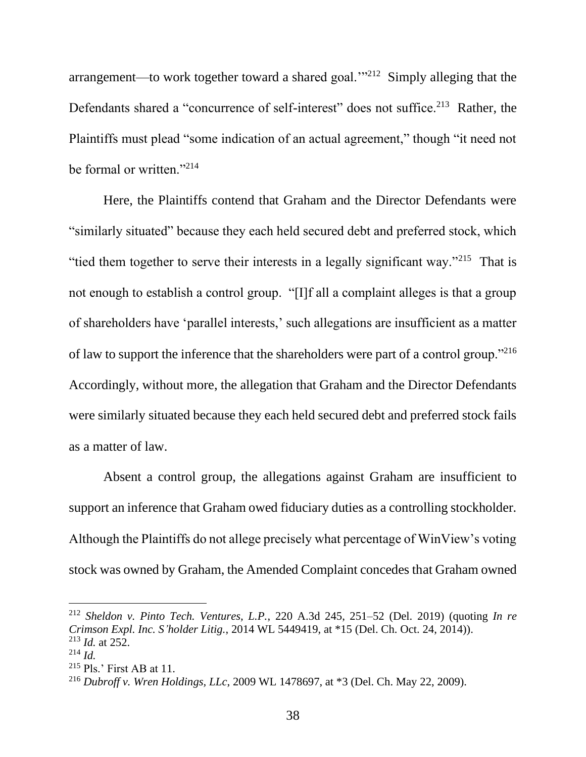arrangement—to work together toward a shared goal. $\frac{1}{2}$  Simply alleging that the Defendants shared a "concurrence of self-interest" does not suffice.<sup>213</sup> Rather, the Plaintiffs must plead "some indication of an actual agreement," though "it need not be formal or written."<sup>214</sup>

Here, the Plaintiffs contend that Graham and the Director Defendants were "similarly situated" because they each held secured debt and preferred stock, which "tied them together to serve their interests in a legally significant way."<sup>215</sup> That is not enough to establish a control group. "[I]f all a complaint alleges is that a group of shareholders have 'parallel interests,' such allegations are insufficient as a matter of law to support the inference that the shareholders were part of a control group."<sup>216</sup> Accordingly, without more, the allegation that Graham and the Director Defendants were similarly situated because they each held secured debt and preferred stock fails as a matter of law.

Absent a control group, the allegations against Graham are insufficient to support an inference that Graham owed fiduciary duties as a controlling stockholder. Although the Plaintiffs do not allege precisely what percentage of WinView's voting stock was owned by Graham, the Amended Complaint concedes that Graham owned

<sup>212</sup> *Sheldon v. Pinto Tech. Ventures, L.P.*, 220 A.3d 245, 251–52 (Del. 2019) (quoting *In re Crimson Expl. Inc. S'holder Litig.*, 2014 WL 5449419, at \*15 (Del. Ch. Oct. 24, 2014)). <sup>213</sup> *Id.* at 252.

 $^{214}$  *Id.* 

<sup>&</sup>lt;sup>215</sup> Pls.' First AB at 11.

<sup>216</sup> *Dubroff v. Wren Holdings, LLc*, 2009 WL 1478697, at \*3 (Del. Ch. May 22, 2009).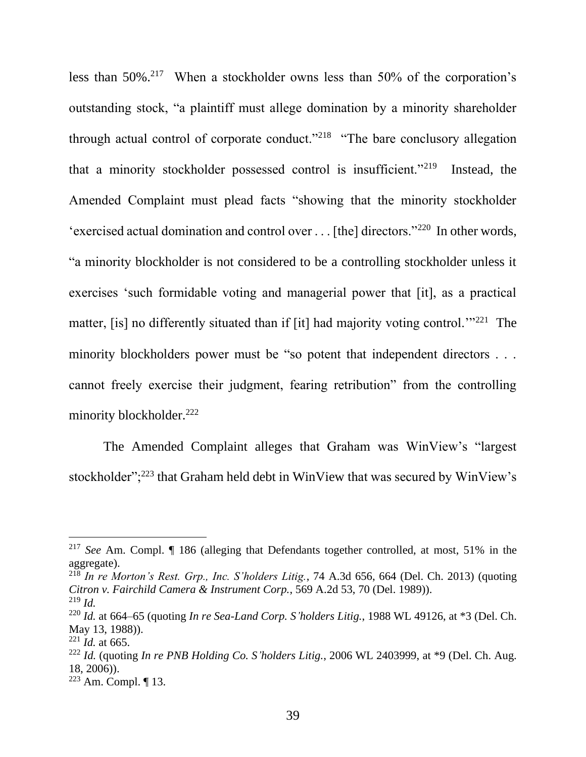less than  $50\%$ .<sup>217</sup> When a stockholder owns less than  $50\%$  of the corporation's outstanding stock, "a plaintiff must allege domination by a minority shareholder through actual control of corporate conduct."<sup>218</sup> "The bare conclusory allegation that a minority stockholder possessed control is insufficient."<sup>219</sup> Instead, the Amended Complaint must plead facts "showing that the minority stockholder 'exercised actual domination and control over . . . [the] directors."<sup>220</sup> In other words, "a minority blockholder is not considered to be a controlling stockholder unless it exercises 'such formidable voting and managerial power that [it], as a practical matter, [is] no differently situated than if [it] had majority voting control.<sup>''221</sup> The minority blockholders power must be "so potent that independent directors . . . cannot freely exercise their judgment, fearing retribution" from the controlling minority blockholder.<sup>222</sup>

The Amended Complaint alleges that Graham was WinView's "largest stockholder";<sup>223</sup> that Graham held debt in WinView that was secured by WinView's

<sup>217</sup> *See* Am. Compl. ¶ 186 (alleging that Defendants together controlled, at most, 51% in the aggregate).

<sup>218</sup> *In re Morton's Rest. Grp., Inc. S'holders Litig.*, 74 A.3d 656, 664 (Del. Ch. 2013) (quoting *Citron v. Fairchild Camera & Instrument Corp.*, 569 A.2d 53, 70 (Del. 1989)). <sup>219</sup> *Id.*

<sup>220</sup> *Id.* at 664–65 (quoting *In re Sea-Land Corp. S'holders Litig.*, 1988 WL 49126, at \*3 (Del. Ch. May 13, 1988)).

<sup>221</sup> *Id.* at 665.

<sup>222</sup> *Id.* (quoting *In re PNB Holding Co. S'holders Litig.*, 2006 WL 2403999, at \*9 (Del. Ch. Aug. 18, 2006)).

 $223$  Am. Compl.  $\P$  13.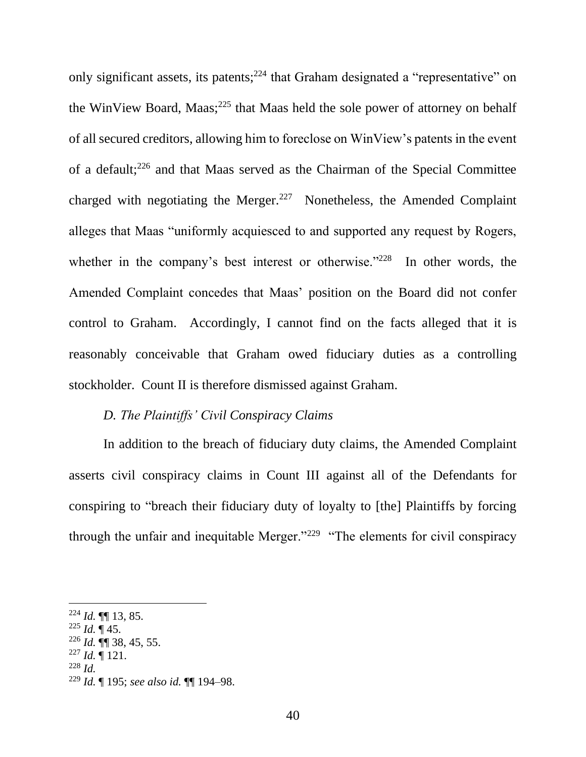only significant assets, its patents;  $2^{24}$  that Graham designated a "representative" on the WinView Board, Maas; $^{225}$  that Maas held the sole power of attorney on behalf of all secured creditors, allowing him to foreclose on WinView's patents in the event of a default;<sup>226</sup> and that Maas served as the Chairman of the Special Committee charged with negotiating the Merger.<sup>227</sup> Nonetheless, the Amended Complaint alleges that Maas "uniformly acquiesced to and supported any request by Rogers, whether in the company's best interest or otherwise."<sup>228</sup> In other words, the Amended Complaint concedes that Maas' position on the Board did not confer control to Graham. Accordingly, I cannot find on the facts alleged that it is reasonably conceivable that Graham owed fiduciary duties as a controlling stockholder. Count II is therefore dismissed against Graham.

# *D. The Plaintiffs' Civil Conspiracy Claims*

In addition to the breach of fiduciary duty claims, the Amended Complaint asserts civil conspiracy claims in Count III against all of the Defendants for conspiring to "breach their fiduciary duty of loyalty to [the] Plaintiffs by forcing through the unfair and inequitable Merger."<sup>229</sup> "The elements for civil conspiracy

- $^{225}$  *Id.* ¶ 45.
- <sup>226</sup> *Id.* ¶¶ 38, 45, 55.
- $^{227}$  *Id.*  $\P$  121.
- <sup>228</sup> *Id.*

 $^{224}$  *Id.*  $\P\P$  13, 85.

<sup>229</sup> *Id.* ¶ 195; *see also id.* ¶¶ 194–98.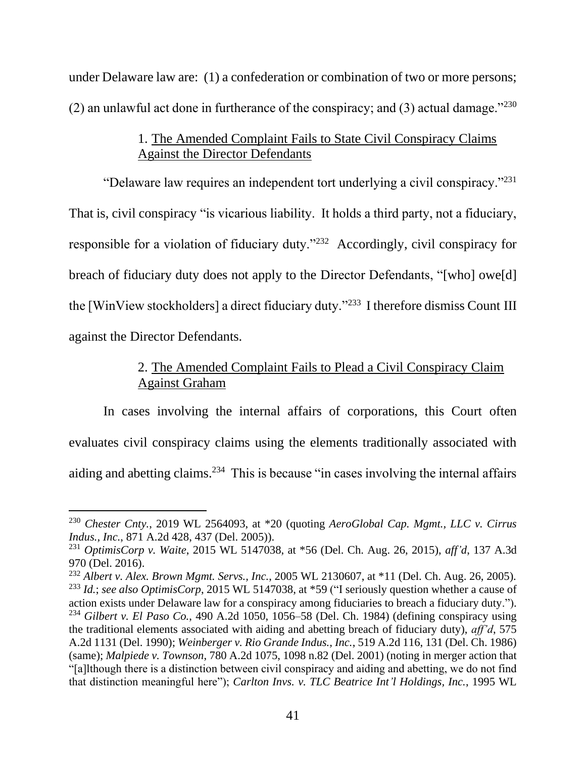under Delaware law are: (1) a confederation or combination of two or more persons; (2) an unlawful act done in furtherance of the conspiracy; and (3) actual damage." $^{230}$ 

# 1. The Amended Complaint Fails to State Civil Conspiracy Claims Against the Director Defendants

"Delaware law requires an independent tort underlying a civil conspiracy."<sup>231</sup> That is, civil conspiracy "is vicarious liability. It holds a third party, not a fiduciary, responsible for a violation of fiduciary duty."<sup>232</sup> Accordingly, civil conspiracy for breach of fiduciary duty does not apply to the Director Defendants, "[who] owe[d] the [WinView stockholders] a direct fiduciary duty."<sup>233</sup> I therefore dismiss Count III against the Director Defendants.

# 2. The Amended Complaint Fails to Plead a Civil Conspiracy Claim Against Graham

In cases involving the internal affairs of corporations, this Court often evaluates civil conspiracy claims using the elements traditionally associated with aiding and abetting claims.<sup>234</sup> This is because "in cases involving the internal affairs

<sup>230</sup> *Chester Cnty.*, 2019 WL 2564093, at \*20 (quoting *AeroGlobal Cap. Mgmt., LLC v. Cirrus Indus., Inc.*, 871 A.2d 428, 437 (Del. 2005)).

<sup>231</sup> *OptimisCorp v. Waite*, 2015 WL 5147038, at \*56 (Del. Ch. Aug. 26, 2015), *aff'd*, 137 A.3d 970 (Del. 2016).

<sup>232</sup> *Albert v. Alex. Brown Mgmt. Servs., Inc.*, 2005 WL 2130607, at \*11 (Del. Ch. Aug. 26, 2005). <sup>233</sup> *Id.*; *see also OptimisCorp*, 2015 WL 5147038, at \*59 ("I seriously question whether a cause of action exists under Delaware law for a conspiracy among fiduciaries to breach a fiduciary duty."). <sup>234</sup> *Gilbert v. El Paso Co.*, 490 A.2d 1050, 1056–58 (Del. Ch. 1984) (defining conspiracy using

the traditional elements associated with aiding and abetting breach of fiduciary duty), *aff'd*, 575 A.2d 1131 (Del. 1990); *Weinberger v. Rio Grande Indus., Inc.*, 519 A.2d 116, 131 (Del. Ch. 1986) (same); *Malpiede v. Townson*, 780 A.2d 1075, 1098 n.82 (Del. 2001) (noting in merger action that "[a]lthough there is a distinction between civil conspiracy and aiding and abetting, we do not find that distinction meaningful here"); *Carlton Invs. v. TLC Beatrice Int'l Holdings, Inc.*, 1995 WL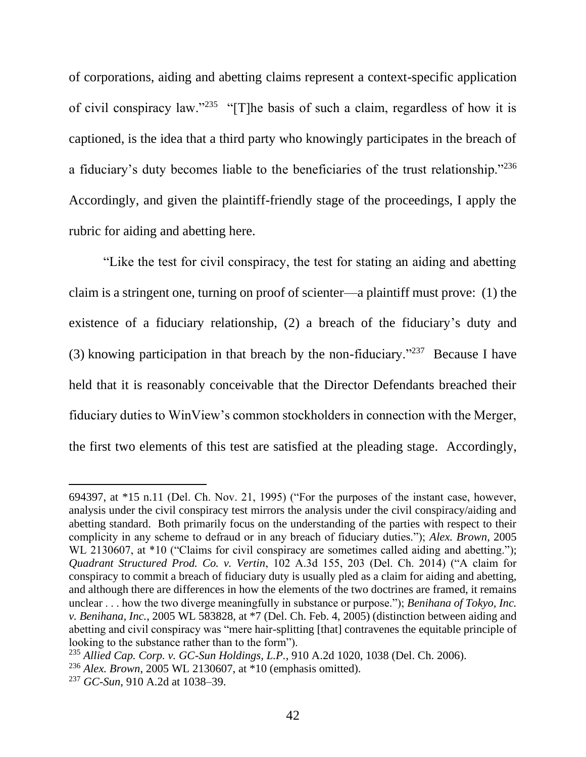of corporations, aiding and abetting claims represent a context-specific application of civil conspiracy law."<sup>235</sup> "[T]he basis of such a claim, regardless of how it is captioned, is the idea that a third party who knowingly participates in the breach of a fiduciary's duty becomes liable to the beneficiaries of the trust relationship."<sup>236</sup> Accordingly, and given the plaintiff-friendly stage of the proceedings, I apply the rubric for aiding and abetting here.

"Like the test for civil conspiracy, the test for stating an aiding and abetting claim is a stringent one, turning on proof of scienter—a plaintiff must prove: (1) the existence of a fiduciary relationship, (2) a breach of the fiduciary's duty and (3) knowing participation in that breach by the non-fiduciary." $237$  Because I have held that it is reasonably conceivable that the Director Defendants breached their fiduciary duties to WinView's common stockholders in connection with the Merger, the first two elements of this test are satisfied at the pleading stage. Accordingly,

<sup>694397,</sup> at \*15 n.11 (Del. Ch. Nov. 21, 1995) ("For the purposes of the instant case, however, analysis under the civil conspiracy test mirrors the analysis under the civil conspiracy/aiding and abetting standard. Both primarily focus on the understanding of the parties with respect to their complicity in any scheme to defraud or in any breach of fiduciary duties."); *Alex. Brown*, 2005 WL 2130607, at \*10 ("Claims for civil conspiracy are sometimes called aiding and abetting."); *Quadrant Structured Prod. Co. v. Vertin*, 102 A.3d 155, 203 (Del. Ch. 2014) ("A claim for conspiracy to commit a breach of fiduciary duty is usually pled as a claim for aiding and abetting, and although there are differences in how the elements of the two doctrines are framed, it remains unclear . . . how the two diverge meaningfully in substance or purpose."); *Benihana of Tokyo, Inc. v. Benihana, Inc.*, 2005 WL 583828, at \*7 (Del. Ch. Feb. 4, 2005) (distinction between aiding and abetting and civil conspiracy was "mere hair-splitting [that] contravenes the equitable principle of looking to the substance rather than to the form").

<sup>235</sup> *Allied Cap. Corp. v. GC-Sun Holdings, L.P.*, 910 A.2d 1020, 1038 (Del. Ch. 2006).

<sup>236</sup> *Alex. Brown*, 2005 WL 2130607, at \*10 (emphasis omitted).

<sup>237</sup> *GC-Sun*, 910 A.2d at 1038–39.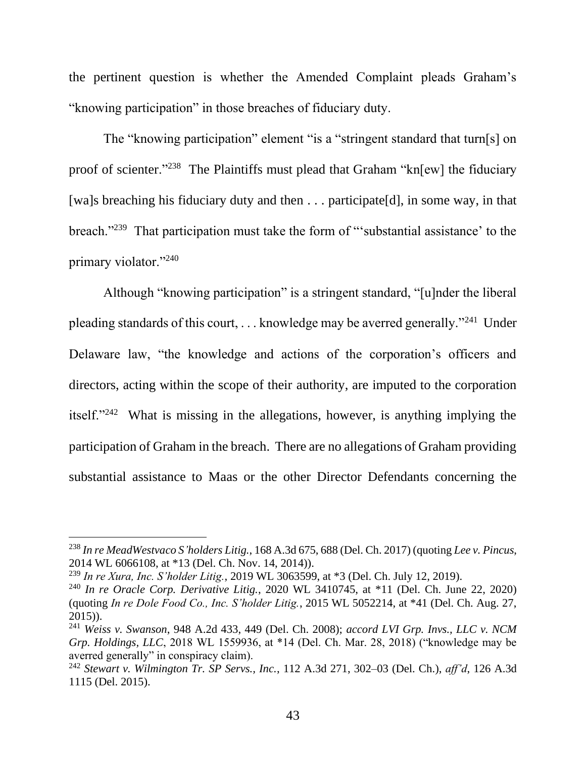the pertinent question is whether the Amended Complaint pleads Graham's "knowing participation" in those breaches of fiduciary duty.

The "knowing participation" element "is a "stringent standard that turn[s] on proof of scienter."<sup>238</sup> The Plaintiffs must plead that Graham "kn[ew] the fiduciary [wa]s breaching his fiduciary duty and then . . . participate[d], in some way, in that breach."<sup>239</sup> That participation must take the form of "substantial assistance' to the primary violator."<sup>240</sup>

Although "knowing participation" is a stringent standard, "[u]nder the liberal pleading standards of this court, . . . knowledge may be averred generally."<sup>241</sup> Under Delaware law, "the knowledge and actions of the corporation's officers and directors, acting within the scope of their authority, are imputed to the corporation itself."<sup>242</sup> What is missing in the allegations, however, is anything implying the participation of Graham in the breach. There are no allegations of Graham providing substantial assistance to Maas or the other Director Defendants concerning the

<sup>238</sup> *In re MeadWestvaco S'holders Litig.*, 168 A.3d 675, 688 (Del. Ch. 2017) (quoting *Lee v. Pincus*, 2014 WL 6066108, at \*13 (Del. Ch. Nov. 14, 2014)).

<sup>239</sup> *In re Xura, Inc. S'holder Litig.*, 2019 WL 3063599, at \*3 (Del. Ch. July 12, 2019).

<sup>240</sup> *In re Oracle Corp. Derivative Litig.*, 2020 WL 3410745, at \*11 (Del. Ch. June 22, 2020) (quoting *In re Dole Food Co., Inc. S'holder Litig.*, 2015 WL 5052214, at \*41 (Del. Ch. Aug. 27, 2015)).

<sup>241</sup> *Weiss v. Swanson*, 948 A.2d 433, 449 (Del. Ch. 2008); *accord LVI Grp. Invs., LLC v. NCM Grp. Holdings, LLC*, 2018 WL 1559936, at \*14 (Del. Ch. Mar. 28, 2018) ("knowledge may be averred generally" in conspiracy claim).

<sup>242</sup> *Stewart v. Wilmington Tr. SP Servs., Inc.*, 112 A.3d 271, 302–03 (Del. Ch.), *aff'd*, 126 A.3d 1115 (Del. 2015).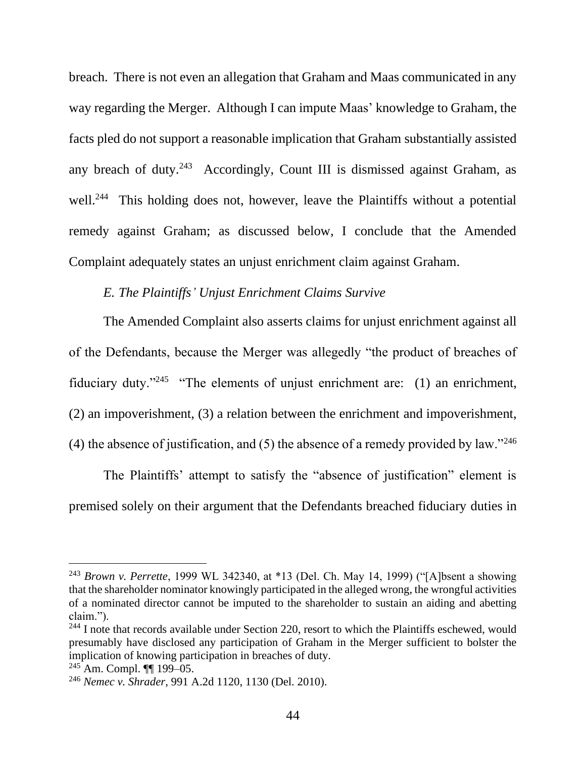breach. There is not even an allegation that Graham and Maas communicated in any way regarding the Merger. Although I can impute Maas' knowledge to Graham, the facts pled do not support a reasonable implication that Graham substantially assisted any breach of duty. $243$  Accordingly, Count III is dismissed against Graham, as well.<sup>244</sup> This holding does not, however, leave the Plaintiffs without a potential remedy against Graham; as discussed below, I conclude that the Amended Complaint adequately states an unjust enrichment claim against Graham.

### *E. The Plaintiffs' Unjust Enrichment Claims Survive*

The Amended Complaint also asserts claims for unjust enrichment against all of the Defendants, because the Merger was allegedly "the product of breaches of fiduciary duty."<sup>245</sup> "The elements of unjust enrichment are: (1) an enrichment, (2) an impoverishment, (3) a relation between the enrichment and impoverishment, (4) the absence of justification, and (5) the absence of a remedy provided by law."<sup>246</sup>

The Plaintiffs' attempt to satisfy the "absence of justification" element is premised solely on their argument that the Defendants breached fiduciary duties in

<sup>243</sup> *Brown v. Perrette*, 1999 WL 342340, at \*13 (Del. Ch. May 14, 1999) ("[A]bsent a showing that the shareholder nominator knowingly participated in the alleged wrong, the wrongful activities of a nominated director cannot be imputed to the shareholder to sustain an aiding and abetting claim.").

 $244$  I note that records available under Section 220, resort to which the Plaintiffs eschewed, would presumably have disclosed any participation of Graham in the Merger sufficient to bolster the implication of knowing participation in breaches of duty.

 $^{245}$ Am. Compl. ¶¶ 199–05.

<sup>246</sup> *Nemec v. Shrader*, 991 A.2d 1120, 1130 (Del. 2010).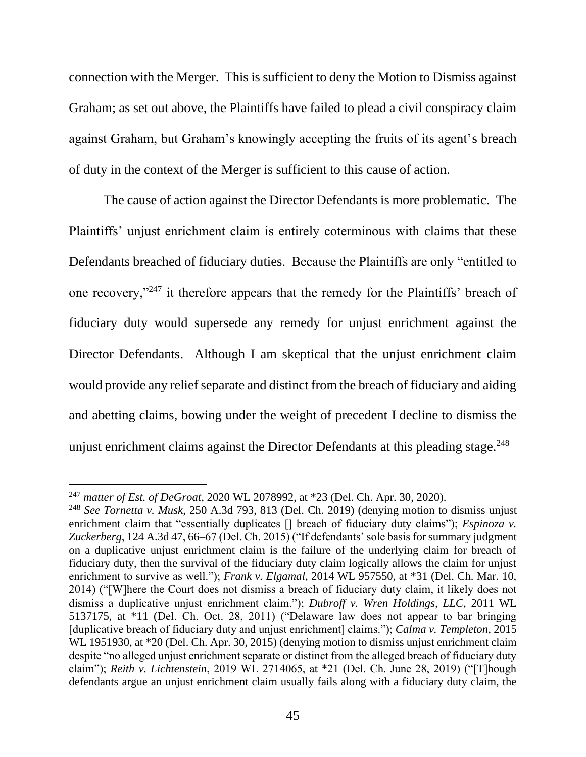connection with the Merger. This is sufficient to deny the Motion to Dismiss against Graham; as set out above, the Plaintiffs have failed to plead a civil conspiracy claim against Graham, but Graham's knowingly accepting the fruits of its agent's breach of duty in the context of the Merger is sufficient to this cause of action.

The cause of action against the Director Defendants is more problematic. The Plaintiffs' unjust enrichment claim is entirely coterminous with claims that these Defendants breached of fiduciary duties. Because the Plaintiffs are only "entitled to one recovery,"<sup>247</sup> it therefore appears that the remedy for the Plaintiffs' breach of fiduciary duty would supersede any remedy for unjust enrichment against the Director Defendants. Although I am skeptical that the unjust enrichment claim would provide any relief separate and distinct from the breach of fiduciary and aiding and abetting claims, bowing under the weight of precedent I decline to dismiss the unjust enrichment claims against the Director Defendants at this pleading stage.<sup>248</sup>

<sup>247</sup> *matter of Est. of DeGroat*, 2020 WL 2078992, at \*23 (Del. Ch. Apr. 30, 2020).

<sup>248</sup> *See Tornetta v. Musk*, 250 A.3d 793, 813 (Del. Ch. 2019) (denying motion to dismiss unjust enrichment claim that "essentially duplicates <sup>[]</sup> breach of fiduciary duty claims"); *Espinoza v. Zuckerberg*, 124 A.3d 47, 66–67 (Del. Ch. 2015) ("If defendants' sole basis for summary judgment on a duplicative unjust enrichment claim is the failure of the underlying claim for breach of fiduciary duty, then the survival of the fiduciary duty claim logically allows the claim for unjust enrichment to survive as well."); *Frank v. Elgamal*, 2014 WL 957550, at \*31 (Del. Ch. Mar. 10, 2014) ("[W]here the Court does not dismiss a breach of fiduciary duty claim, it likely does not dismiss a duplicative unjust enrichment claim."); *Dubroff v. Wren Holdings, LLC*, 2011 WL 5137175, at \*11 (Del. Ch. Oct. 28, 2011) ("Delaware law does not appear to bar bringing [duplicative breach of fiduciary duty and unjust enrichment] claims."); *Calma v. Templeton*, 2015 WL 1951930, at  $*20$  (Del. Ch. Apr. 30, 2015) (denying motion to dismiss unjust enrichment claim despite "no alleged unjust enrichment separate or distinct from the alleged breach of fiduciary duty claim"); *Reith v. Lichtenstein*, 2019 WL 2714065, at \*21 (Del. Ch. June 28, 2019) ("[T]hough defendants argue an unjust enrichment claim usually fails along with a fiduciary duty claim, the